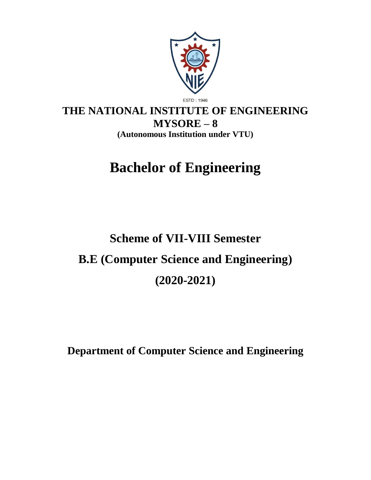

# **THE NATIONAL INSTITUTE OF ENGINEERING MYSORE – 8 (Autonomous Institution under VTU)**

# **Bachelor of Engineering**

# **Scheme of VII-VIII Semester B.E (Computer Science and Engineering) (2020-2021)**

**Department of Computer Science and Engineering**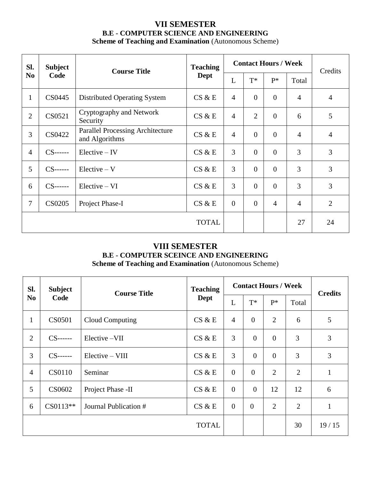# **VII SEMESTER B.E - COMPUTER SCIENCE AND ENGINEERING Scheme of Teaching and Examination** (Autonomous Scheme)

| Sl.                | <b>Subject</b> | <b>Course Title</b>                                       | <b>Teaching</b> | <b>Contact Hours / Week</b> |                |                | Credits        |                |
|--------------------|----------------|-----------------------------------------------------------|-----------------|-----------------------------|----------------|----------------|----------------|----------------|
| N <sub>0</sub>     | Code           |                                                           | Dept            | L                           | $T^*$          | $P^*$          | Total          |                |
| $\mathbf{1}$       | CS0445         | <b>Distributed Operating System</b>                       | CS & E          | $\overline{4}$              | $\overline{0}$ | $\Omega$       | $\overline{4}$ | $\overline{4}$ |
| $\overline{2}$     | CS0521         | Cryptography and Network<br>Security                      | CS & E          | $\overline{4}$              | $\overline{2}$ | $\overline{0}$ | 6              | 5              |
| 3                  | CS0422         | <b>Parallel Processing Architecture</b><br>and Algorithms | CS & E          | $\overline{4}$              | $\overline{0}$ | $\overline{0}$ | $\overline{4}$ | $\overline{4}$ |
| $\overline{4}$     | $CS$ ------    | $Electric - IV$                                           | CS & E          | 3                           | $\theta$       | $\theta$       | 3              | 3              |
| 5                  | $CS$ ------    | $Electric - V$                                            | CS & E          | 3                           | $\mathbf{0}$   | $\theta$       | 3              | 3              |
| 6                  | $CS$ ------    | $Electric - VI$                                           | CS & E          | 3                           | $\overline{0}$ | $\theta$       | 3              | 3              |
| $\overline{7}$     | <b>CS0205</b>  | Project Phase-I                                           | CS & E          | $\overline{0}$              | $\theta$       | $\overline{4}$ | $\overline{4}$ | $\overline{2}$ |
| <b>TOTAL</b><br>27 |                |                                                           |                 |                             | 24             |                |                |                |

# **VIII SEMESTER**

**B.E - COMPUTER SCEINCE AND ENGINEERING**

**Scheme of Teaching and Examination** (Autonomous Scheme)

| SI.            | <b>Subject</b> | <b>Course Title</b>   | <b>Teaching</b> |                | <b>Contact Hours / Week</b> |                |                | <b>Credits</b> |
|----------------|----------------|-----------------------|-----------------|----------------|-----------------------------|----------------|----------------|----------------|
| N <sub>0</sub> | Code           |                       | <b>Dept</b>     | L              | $T^*$                       | $P^*$          | Total          |                |
| $\mathbf{1}$   | CS0501         | Cloud Computing       | CS & E          | $\overline{4}$ | $\theta$                    | $\overline{2}$ | 6              | 5              |
| 2              | $CS$ ------    | Elective -VII         | CS & E          | 3              | $\overline{0}$              | $\overline{0}$ | 3              | 3              |
| 3              | $CS$ ------    | $Electric - VIII$     | CS & E          | 3              | $\theta$                    | $\overline{0}$ | 3              | 3              |
| $\overline{4}$ | <b>CS0110</b>  | Seminar               | CS & E          | $\overline{0}$ | $\Omega$                    | $\overline{2}$ | $\overline{2}$ | $\mathbf{1}$   |
| 5              | CS0602         | Project Phase -II     | CS & E          | $\overline{0}$ | $\overline{0}$              | 12             | 12             | 6              |
| 6              | $CS0113**$     | Journal Publication # | CS & E          | $\overline{0}$ | $\overline{0}$              | $\overline{2}$ | $\overline{2}$ | $\mathbf{1}$   |
|                |                |                       | <b>TOTAL</b>    |                |                             |                | 30             | 19/15          |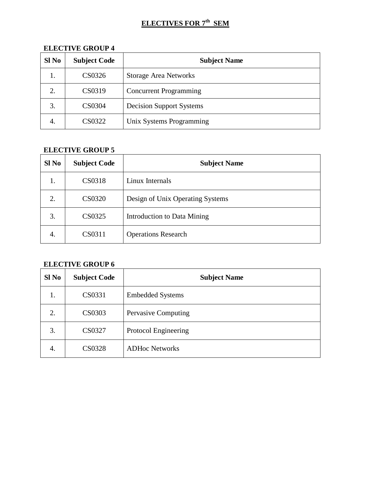# **ELECTIVES FOR 7th SEM**

| Sl No | <b>Subject Code</b> | <b>Subject Name</b>             |
|-------|---------------------|---------------------------------|
| 1.    | CS0326              | <b>Storage Area Networks</b>    |
| 2.    | CS0319              | <b>Concurrent Programming</b>   |
| 3.    | <b>CS0304</b>       | <b>Decision Support Systems</b> |
| 4.    | CS0322              | Unix Systems Programming        |

# **ELECTIVE GROUP 4**

# **ELECTIVE GROUP 5**

| Sl No | <b>Subject Code</b> | <b>Subject Name</b>              |
|-------|---------------------|----------------------------------|
| 1.    | CS0318              | Linux Internals                  |
| 2.    | CS0320              | Design of Unix Operating Systems |
| 3.    | CS0325              | Introduction to Data Mining      |
| 4.    | CS0311              | <b>Operations Research</b>       |

# **ELECTIVE GROUP 6**

| Sl No | <b>Subject Code</b> | <b>Subject Name</b>     |
|-------|---------------------|-------------------------|
| 1.    | CS0331              | <b>Embedded Systems</b> |
| 2.    | CS0303              | Pervasive Computing     |
| 3.    | <b>CS0327</b>       | Protocol Engineering    |
| 4.    | <b>CS0328</b>       | <b>ADHoc Networks</b>   |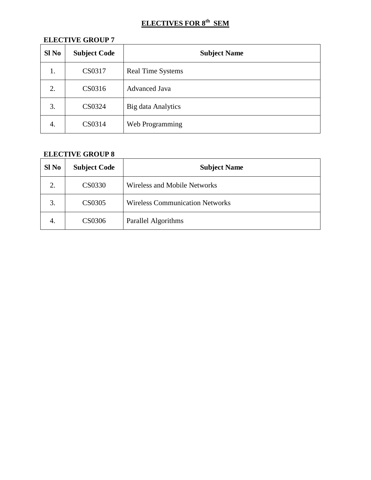# **ELECTIVES FOR 8th SEM**

# **ELECTIVE GROUP 7**

| $SI$ No | <b>Subject Code</b> | <b>Subject Name</b>      |
|---------|---------------------|--------------------------|
| 1.      | CS0317              | <b>Real Time Systems</b> |
| 2.      | CS0316              | <b>Advanced Java</b>     |
| 3.      | CS0324              | Big data Analytics       |
| 4.      | CS0314              | Web Programming          |

# **ELECTIVE GROUP 8**

| Sl No | <b>Subject Code</b> | <b>Subject Name</b>                    |
|-------|---------------------|----------------------------------------|
| 2.    | CS0330              | <b>Wireless and Mobile Networks</b>    |
| 3.    | CS0305              | <b>Wireless Communication Networks</b> |
| 4.    | CS0306              | Parallel Algorithms                    |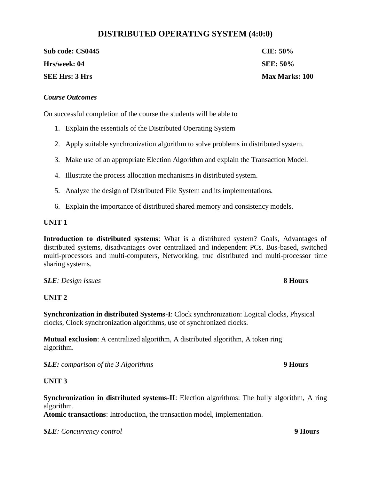# **DISTRIBUTED OPERATING SYSTEM (4:0:0)**

Sub code: CS0445 **CIE:** 50% **Hrs/week: 04 SEE: 50% SEE Hrs: 3 Hrs Max Marks: 100** 

#### *Course Outcomes*

On successful completion of the course the students will be able to

- 1. Explain the essentials of the Distributed Operating System
- 2. Apply suitable synchronization algorithm to solve problems in distributed system.
- 3. Make use of an appropriate Election Algorithm and explain the Transaction Model.
- 4. Illustrate the process allocation mechanisms in distributed system.
- 5. Analyze the design of Distributed File System and its implementations.
- 6. Explain the importance of distributed shared memory and consistency models.

#### **UNIT 1**

**Introduction to distributed systems**: What is a distributed system? Goals, Advantages of distributed systems, disadvantages over centralized and independent PCs. Bus-based, switched multi-processors and multi-computers, Networking, true distributed and multi-processor time sharing systems.

#### *SLE: Design issues* **8 Hours**

#### **UNIT 2**

**Synchronization in distributed Systems-I**: Clock synchronization: Logical clocks, Physical clocks, Clock synchronization algorithms, use of synchronized clocks.

**Mutual exclusion**: A centralized algorithm, A distributed algorithm, A token ring algorithm.

*SLE: comparison of the 3 Algorithms* **9 Hours**

#### **UNIT 3**

**Synchronization in distributed systems-II**: Election algorithms: The bully algorithm, A ring algorithm.

**Atomic transactions**: Introduction, the transaction model, implementation.

*SLE: Concurrency control* **9 Hours**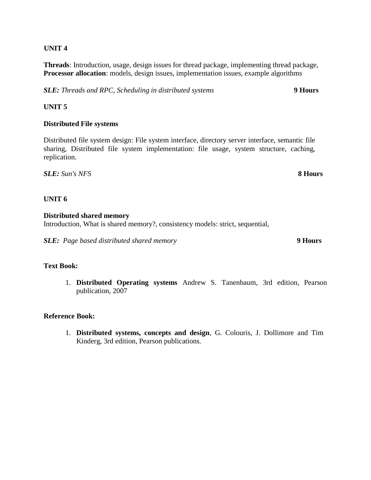**Threads**: Introduction, usage, design issues for thread package, implementing thread package, **Processor allocation**: models, design issues, implementation issues, example algorithms

*SLE: Threads and RPC, Scheduling in distributed systems* **9 Hours**

#### **UNIT 5**

#### **Distributed File systems**

Distributed file system design: File system interface, directory server interface, semantic file sharing, Distributed file system implementation: file usage, system structure, caching, replication.

*SLE: Sun's NFS* **8 Hours**

#### **UNIT 6**

#### **Distributed shared memory**

Introduction, What is shared memory?, consistency models: strict, sequential,

*SLE: Page based distributed shared memory* **9 Hours**

#### **Text Book:**

1. **Distributed Operating systems** Andrew S. Tanenbaum, 3rd edition, Pearson publication, 2007

#### **Reference Book:**

1. **Distributed systems, concepts and design**, G. Colouris, J. Dollimore and Tim Kinderg, 3rd edition, Pearson publications.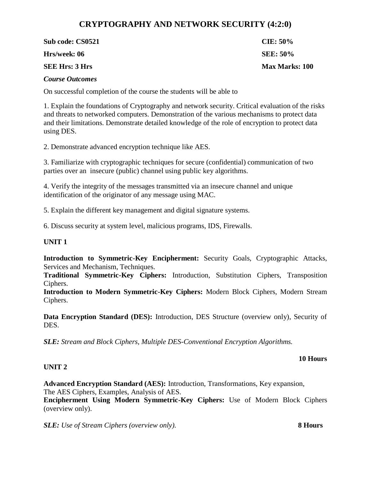# **CRYPTOGRAPHY AND NETWORK SECURITY (4:2:0)**

| Sub code: CS0521       | CIE: $50\%$           |
|------------------------|-----------------------|
| Hrs/week: 06           | <b>SEE: 50%</b>       |
| <b>SEE Hrs: 3 Hrs</b>  | <b>Max Marks: 100</b> |
| <b>Course Outcomes</b> |                       |

On successful completion of the course the students will be able to

1. Explain the foundations of Cryptography and network security. Critical evaluation of the risks and threats to networked computers. Demonstration of the various mechanisms to protect data and their limitations. Demonstrate detailed knowledge of the role of encryption to protect data using DES.

2. Demonstrate advanced encryption technique like AES.

3. Familiarize with cryptographic techniques for secure (confidential) communication of two parties over an insecure (public) channel using public key algorithms.

4. Verify the integrity of the messages transmitted via an insecure channel and unique identification of the originator of any message using MAC.

5. Explain the different key management and digital signature systems.

6. Discuss security at system level, malicious programs, IDS, Firewalls.

#### **UNIT 1**

**Introduction to Symmetric-Key Encipherment:** Security Goals, Cryptographic Attacks, Services and Mechanism, Techniques.

**Traditional Symmetric-Key Ciphers:** Introduction, Substitution Ciphers, Transposition Ciphers.

**Introduction to Modern Symmetric-Key Ciphers:** Modern Block Ciphers, Modern Stream Ciphers.

**Data Encryption Standard (DES):** Introduction, DES Structure (overview only), Security of DES.

*SLE: Stream and Block Ciphers, Multiple DES-Conventional Encryption Algorithms.*

#### **10 Hours**

#### **UNIT 2**

**Advanced Encryption Standard (AES):** Introduction, Transformations, Key expansion, The AES Ciphers, Examples, Analysis of AES.

**Encipherment Using Modern Symmetric-Key Ciphers:** Use of Modern Block Ciphers (overview only).

*SLE: Use of Stream Ciphers (overview only).* **8 Hours**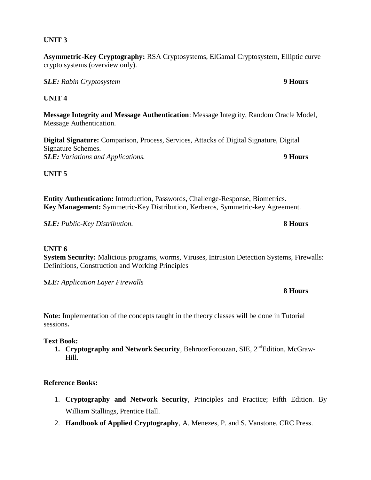**Asymmetric-Key Cryptography:** RSA Cryptosystems, ElGamal Cryptosystem, Elliptic curve crypto systems (overview only).

*SLE: Rabin Cryptosystem* **9 Hours**

# **UNIT 4**

**Message Integrity and Message Authentication**: Message Integrity, Random Oracle Model, Message Authentication.

**Digital Signature:** Comparison, Process, Services, Attacks of Digital Signature, Digital Signature Schemes. *SLE: Variations and Applications.* **9 Hours**

# **UNIT 5**

**Entity Authentication:** Introduction, Passwords, Challenge-Response, Biometrics. **Key Management:** Symmetric-Key Distribution, Kerberos, Symmetric-key Agreement.

*SLE: Public-Key Distribution.* **8 Hours**

### **UNIT 6**

**System Security:** Malicious programs, worms, Viruses, Intrusion Detection Systems, Firewalls: Definitions, Construction and Working Principles

*SLE: Application Layer Firewalls* 

**Note:** Implementation of the concepts taught in the theory classes will be done in Tutorial sessions**.**

### **Text Book:**

**1. Cryptography and Network Security**, BehroozForouzan, SIE, 2<sup>nd</sup>Edition, McGraw-Hill.

### **Reference Books:**

- 1. **Cryptography and Network Security**, Principles and Practice; Fifth Edition. By William Stallings, Prentice Hall.
- 2. **Handbook of Applied Cryptography**, A. Menezes, P. and S. Vanstone. CRC Press.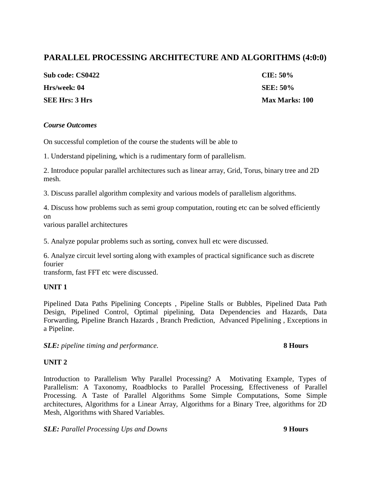# **PARALLEL PROCESSING ARCHITECTURE AND ALGORITHMS (4:0:0)**

| Sub code: CS0422      | $CIE: 50\%$           |
|-----------------------|-----------------------|
| Hrs/week: 04          | <b>SEE: 50%</b>       |
| <b>SEE Hrs: 3 Hrs</b> | <b>Max Marks: 100</b> |

#### *Course Outcomes*

On successful completion of the course the students will be able to

1. Understand pipelining, which is a rudimentary form of parallelism.

2. Introduce popular parallel architectures such as linear array, Grid, Torus, binary tree and 2D mesh.

3. Discuss parallel algorithm complexity and various models of parallelism algorithms.

4. Discuss how problems such as semi group computation, routing etc can be solved efficiently on

various parallel architectures

5. Analyze popular problems such as sorting, convex hull etc were discussed.

6. Analyze circuit level sorting along with examples of practical significance such as discrete fourier

transform, fast FFT etc were discussed.

#### **UNIT 1**

Pipelined Data Paths Pipelining Concepts , Pipeline Stalls or Bubbles, Pipelined Data Path Design, Pipelined Control, Optimal pipelining, Data Dependencies and Hazards, Data Forwarding, Pipeline Branch Hazards , Branch Prediction, Advanced Pipelining , Exceptions in a Pipeline.

*SLE: pipeline timing and performance.* **8 Hours**

#### **UNIT 2**

Introduction to Parallelism Why Parallel Processing? A Motivating Example, Types of Parallelism: A Taxonomy, Roadblocks to Parallel Processing, Effectiveness of Parallel Processing. A Taste of Parallel Algorithms Some Simple Computations, Some Simple architectures, Algorithms for a Linear Array, Algorithms for a Binary Tree, algorithms for 2D Mesh, Algorithms with Shared Variables.

*SLE: Parallel Processing Ups and Downs* **9 Hours**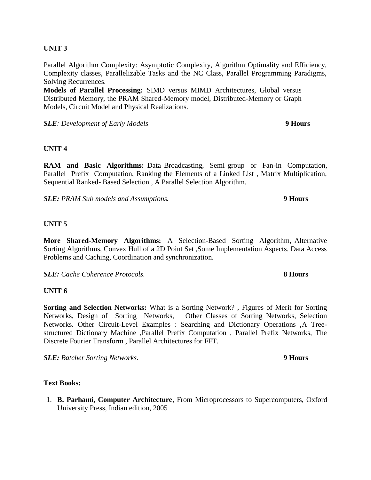Parallel Algorithm Complexity: Asymptotic Complexity, Algorithm Optimality and Efficiency, Complexity classes, Parallelizable Tasks and the NC Class, Parallel Programming Paradigms, Solving Recurrences.

**Models of Parallel Processing:** SIMD versus MIMD Architectures, Global versus Distributed Memory, the PRAM Shared-Memory model, Distributed-Memory or Graph Models, Circuit Model and Physical Realizations.

*SLE: Development of Early Models* **9 Hours**

#### **UNIT 4**

**RAM and Basic Algorithms:** Data Broadcasting, Semi group or Fan-in Computation, Parallel Prefix Computation, Ranking the Elements of a Linked List , Matrix Multiplication, Sequential Ranked- Based Selection , A Parallel Selection Algorithm.

*SLE: PRAM Sub models and Assumptions.* **9 Hours**

#### **UNIT 5**

**More Shared-Memory Algorithms:** A Selection-Based Sorting Algorithm, Alternative Sorting Algorithms, Convex Hull of a 2D Point Set ,Some Implementation Aspects. Data Access Problems and Caching, Coordination and synchronization.

*SLE: Cache Coherence Protocols.* **8 Hours** 

#### **UNIT 6**

**Sorting and Selection Networks:** What is a Sorting Network? , Figures of Merit for Sorting Networks, Design of Sorting Networks, Other Classes of Sorting Networks, Selection Networks. Other Circuit-Level Examples : Searching and Dictionary Operations ,A Treestructured Dictionary Machine ,Parallel Prefix Computation , Parallel Prefix Networks, The Discrete Fourier Transform , Parallel Architectures for FFT.

*SLE: Batcher Sorting Networks.* **9 Hours**

#### **Text Books:**

1. **B. Parhami, Computer Architecture**, From Microprocessors to Supercomputers, Oxford University Press, Indian edition, 2005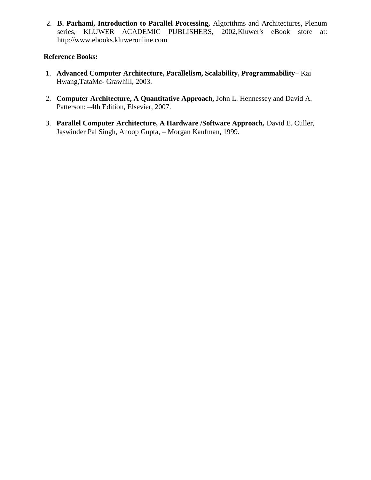2. **B. Parhami, Introduction to Parallel Processing,** Algorithms and Architectures, Plenum series, KLUWER ACADEMIC PUBLISHERS, 2002,Kluwer's eBook store at: http://www.ebooks.kluweronline.com

#### **Reference Books:**

- 1. **Advanced Computer Architecture, Parallelism, Scalability, Programmability–** Kai Hwang,TataMc- Grawhill, 2003.
- 2. **Computer Architecture, A Quantitative Approach,** John L. Hennessey and David A. Patterson: –4th Edition, Elsevier, 2007.
- 3. **Parallel Computer Architecture, A Hardware /Software Approach,** David E. Culler, Jaswinder Pal Singh, Anoop Gupta, – Morgan Kaufman, 1999.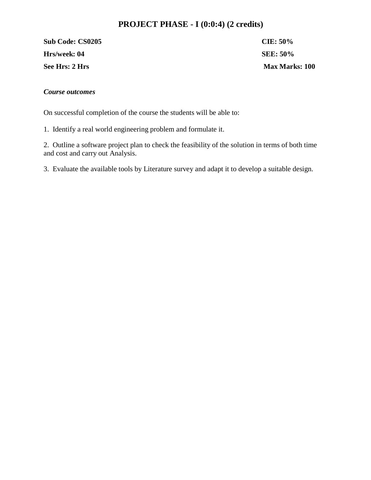# **PROJECT PHASE - I (0:0:4) (2 credits)**

**Sub Code: CS0205 CIE: 50% Hrs/week: 04** SEE: 50% **See Hrs: 2 Hrs Max Marks: 100**

#### *Course outcomes*

On successful completion of the course the students will be able to:

1. Identify a real world engineering problem and formulate it.

2. Outline a software project plan to check the feasibility of the solution in terms of both time and cost and carry out Analysis.

3. Evaluate the available tools by Literature survey and adapt it to develop a suitable design.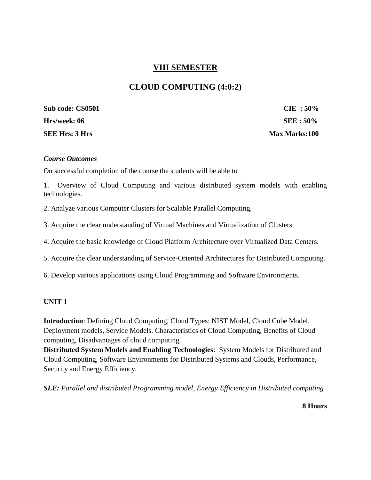# **VIII SEMESTER**

# **CLOUD COMPUTING (4:0:2)**

**Sub code: CS0501 CIE : 50% Hrs/week: 06 SEE : 50% SEE Hrs: 3 Hrs** Max Marks:100

#### *Course Outcomes*

On successful completion of the course the students will be able to

1. Overview of Cloud Computing and various distributed system models with enabling technologies.

2. Analyze various Computer Clusters for Scalable Parallel Computing.

3. Acquire the clear understanding of Virtual Machines and Virtualization of Clusters.

4. Acquire the basic knowledge of Cloud Platform Architecture over Virtualized Data Centers.

5. Acquire the clear understanding of Service-Oriented Architectures for Distributed Computing.

6. Develop various applications using Cloud Programming and Software Environments.

#### **UNIT 1**

**Introduction**: Defining Cloud Computing, Cloud Types: NIST Model, Cloud Cube Model, Deployment models, Service Models. Characteristics of Cloud Computing, Benefits of Cloud computing, Disadvantages of cloud computing.

**Distributed System Models and Enabling Technologies**: System Models for Distributed and Cloud Computing, Software Environments for Distributed Systems and Clouds, Performance, Security and Energy Efficiency.

*SLE: Parallel and distributed Programming model, Energy Efficiency in Distributed computing*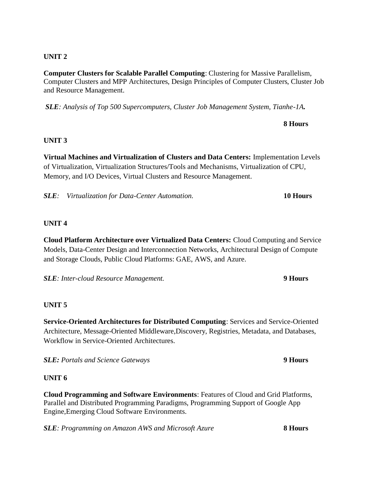**Computer Clusters for Scalable Parallel Computing**: Clustering for Massive Parallelism, Computer Clusters and MPP Architectures, Design Principles of Computer Clusters, Cluster Job and Resource Management.

*SLE: Analysis of Top 500 Supercomputers, Cluster Job Management System, Tianhe-1A.* 

## **8 Hours**

### **UNIT 3**

**Virtual Machines and Virtualization of Clusters and Data Centers:** Implementation Levels of Virtualization, Virtualization Structures/Tools and Mechanisms, Virtualization of CPU, Memory, and I/O Devices, Virtual Clusters and Resource Management.

*SLE: Virtualization for Data-Center Automation.* **10 Hours**

#### **UNIT 4**

**Cloud Platform Architecture over Virtualized Data Centers:** Cloud Computing and Service Models, Data-Center Design and Interconnection Networks, Architectural Design of Compute and Storage Clouds, Public Cloud Platforms: GAE, AWS, and Azure.

*SLE: Inter-cloud Resource Management.* **9 Hours**

### **UNIT 5**

**Service-Oriented Architectures for Distributed Computing**: Services and Service-Oriented Architecture, Message-Oriented Middleware,Discovery, Registries, Metadata, and Databases, Workflow in Service-Oriented Architectures.

*SLE: Portals and Science Gateways* **9 Hours** 

### **UNIT 6**

**Cloud Programming and Software Environments**: Features of Cloud and Grid Platforms, Parallel and Distributed Programming Paradigms, Programming Support of Google App Engine,Emerging Cloud Software Environments.

*SLE: Programming on Amazon AWS and Microsoft Azure* **8 Hours**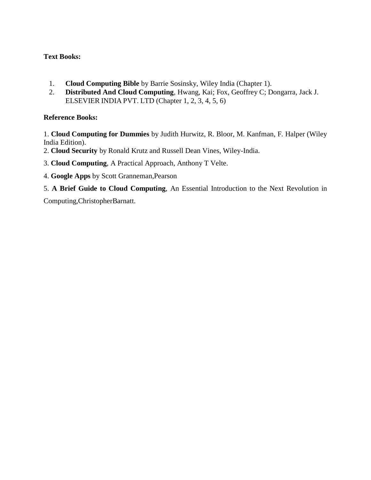## **Text Books:**

- 1. **Cloud Computing Bible** by Barrie Sosinsky, Wiley India (Chapter 1).
- 2. **Distributed And Cloud Computing**, Hwang, Kai; Fox, Geoffrey C; Dongarra, Jack J. ELSEVIER INDIA PVT. LTD (Chapter 1, 2, 3, 4, 5, 6)

### **Reference Books:**

1. **Cloud Computing for Dummies** by Judith Hurwitz, R. Bloor, M. Kanfman, F. Halper (Wiley India Edition).

- 2. **Cloud Security** by Ronald Krutz and Russell Dean Vines, Wiley-India.
- 3. **Cloud Computing**, A Practical Approach, Anthony T Velte.
- 4. **Google Apps** by Scott Granneman,Pearson
- 5. **A Brief Guide to Cloud Computing**, An Essential Introduction to the Next Revolution in

Computing,ChristopherBarnatt.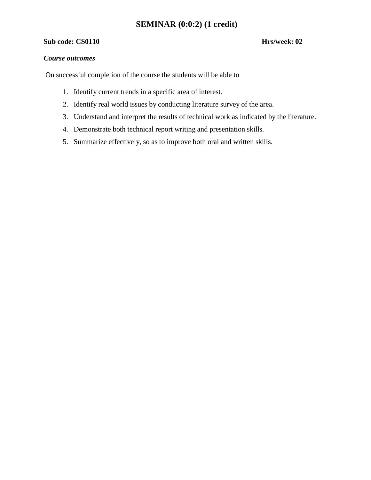# **SEMINAR (0:0:2) (1 credit)**

#### **Sub code: CS0110 Hrs/week: 02**

#### *Course outcomes*

On successful completion of the course the students will be able to

- 1. Identify current trends in a specific area of interest.
- 2. Identify real world issues by conducting literature survey of the area.
- 3. Understand and interpret the results of technical work as indicated by the literature.
- 4. Demonstrate both technical report writing and presentation skills.
- 5. Summarize effectively, so as to improve both oral and written skills.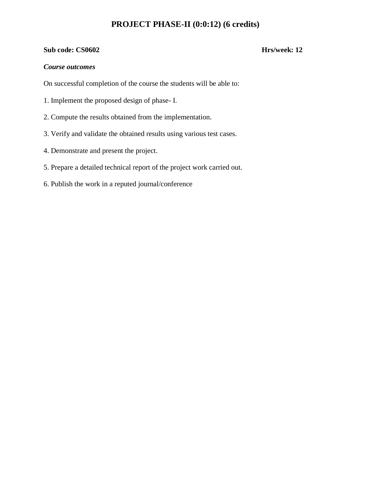# **PROJECT PHASE-II (0:0:12) (6 credits)**

#### **Sub code: CS0602 Hrs/week: 12**

#### *Course outcomes*

On successful completion of the course the students will be able to:

- 1. Implement the proposed design of phase- I.
- 2. Compute the results obtained from the implementation.
- 3. Verify and validate the obtained results using various test cases.
- 4. Demonstrate and present the project.
- 5. Prepare a detailed technical report of the project work carried out.
- 6. Publish the work in a reputed journal/conference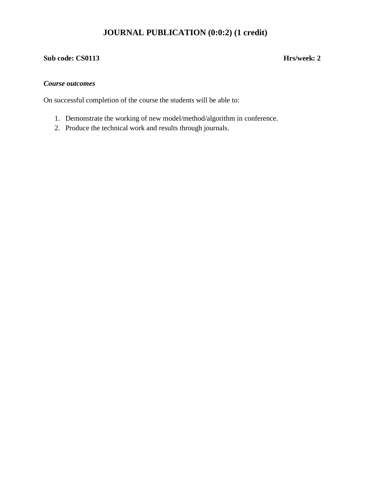# **JOURNAL PUBLICATION (0:0:2) (1 credit)**

# **Sub code: CS0113 Hrs/week: 2**

#### *Course outcomes*

On successful completion of the course the students will be able to:

- 1. Demonstrate the working of new model/method/algorithm in conference.
- 2. Produce the technical work and results through journals.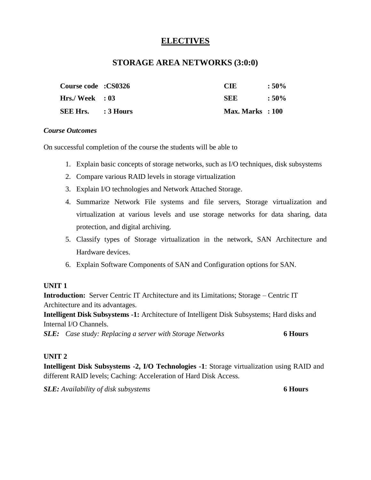# **ELECTIVES**

# **STORAGE AREA NETWORKS (3:0:0)**

| Course code : CS0326      | CIE                | $:50\%$ |
|---------------------------|--------------------|---------|
| $Hrs.$ / Week : 03        | SEE                | $:50\%$ |
| <b>SEE Hrs.</b> : 3 Hours | $Max. Marks$ : 100 |         |

#### *Course Outcomes*

On successful completion of the course the students will be able to

- 1. Explain basic concepts of storage networks, such as I/O techniques, disk subsystems
- 2. Compare various RAID levels in storage virtualization
- 3. Explain I/O technologies and Network Attached Storage.
- 4. Summarize Network File systems and file servers, Storage virtualization and virtualization at various levels and use storage networks for data sharing, data protection, and digital archiving.
- 5. Classify types of Storage virtualization in the network, SAN Architecture and Hardware devices.
- 6. Explain Software Components of SAN and Configuration options for SAN.

### **UNIT 1**

**Introduction:** Server Centric IT Architecture and its Limitations; Storage – Centric IT Architecture and its advantages.

**Intelligent Disk Subsystems -1:** Architecture of Intelligent Disk Subsystems; Hard disks and Internal I/O Channels.

*SLE: Case study: Replacing a server with Storage Networks* **6 Hours**

# **UNIT 2**

**Intelligent Disk Subsystems -2, I/O Technologies -1**: Storage virtualization using RAID and different RAID levels; Caching: Acceleration of Hard Disk Access.

*SLE: Availability of disk subsystems* **6 Hours**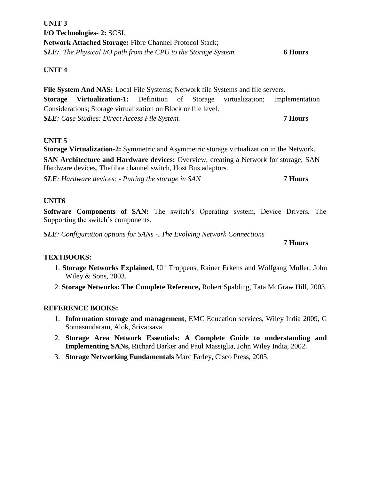# **UNIT 3 I/O Technologies- 2:** SCSI. **Network Attached Storage:** Fibre Channel Protocol Stack; *SLE: The Physical I/O path from the CPU to the Storage System* **6 Hours**

## **UNIT 4**

**File System And NAS:** Local File Systems; Network file Systems and file servers. **Storage Virtualization-1:** Definition of Storage virtualization; Implementation Considerations; Storage virtualization on Block or file level. *SLE: Case Studies: Direct Access File System.* **7 Hours**

### **UNIT 5**

**Storage Virtualization-2:** Symmetric and Asymmetric storage virtualization in the Network.

**SAN Architecture and Hardware devices:** Overview, creating a Network for storage; SAN Hardware devices, Thefibre channel switch, Host Bus adaptors.

*SLE: Hardware devices: - Putting the storage in SAN* **7 Hours**

### **UNIT6**

**Software Components of SAN:** The switch's Operating system, Device Drivers, The Supporting the switch's components.

*SLE: Configuration options for SANs -. The Evolving Network Connections*

#### **7 Hours**

### **TEXTBOOKS:**

- 1. **Storage Networks Explained,** Ulf Troppens, Rainer Erkens and Wolfgang Muller, John Wiley & Sons, 2003.
- 2. **Storage Networks: The Complete Reference,** Robert Spalding, Tata McGraw Hill, 2003.

### **REFERENCE BOOKS:**

- 1. **Information storage and management**, EMC Education services, Wiley India 2009, G Somasundaram, Alok, Srivatsava
- 2. **Storage Area Network Essentials: A Complete Guide to understanding and Implementing SANs,** Richard Barker and Paul Massiglia, John Wiley India, 2002.
- 3. **Storage Networking Fundamentals** Marc Farley, Cisco Press, 2005.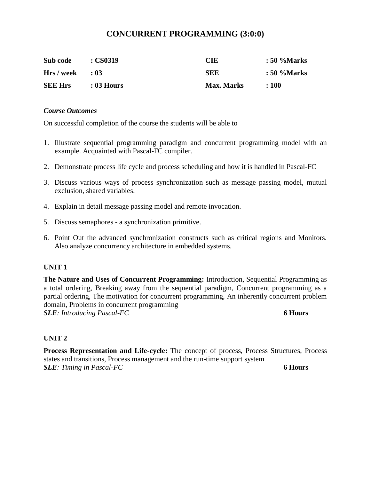# **CONCURRENT PROGRAMMING (3:0:0)**

| Sub code       | : CS0319   | <b>CIE</b>        | : 50 %Marks |
|----------------|------------|-------------------|-------------|
| Hrs / week     | $\cdot$ 03 | SEE               | : 50 %Marks |
| <b>SEE Hrs</b> | : 03 Hours | <b>Max. Marks</b> | :100        |

#### *Course Outcomes*

On successful completion of the course the students will be able to

- 1. Illustrate sequential programming paradigm and concurrent programming model with an example. Acquainted with Pascal-FC compiler.
- 2. Demonstrate process life cycle and process scheduling and how it is handled in Pascal-FC
- 3. Discuss various ways of process synchronization such as message passing model, mutual exclusion, shared variables.
- 4. Explain in detail message passing model and remote invocation.
- 5. Discuss semaphores a synchronization primitive.
- 6. Point Out the advanced synchronization constructs such as critical regions and Monitors. Also analyze concurrency architecture in embedded systems.

#### **UNIT 1**

**The Nature and Uses of Concurrent Programming:** Introduction, Sequential Programming as a total ordering, Breaking away from the sequential paradigm, Concurrent programming as a partial ordering, The motivation for concurrent programming, An inherently concurrent problem domain, Problems in concurrent programming *SLE: Introducing Pascal-FC* **6 Hours**

### **UNIT 2**

**Process Representation and Life-cycle:** The concept of process, Process Structures, Process states and transitions, Process management and the run-time support system *SLE: Timing in Pascal-FC* **6 Hours**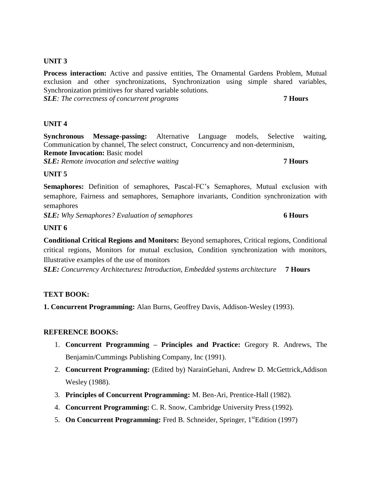Process interaction: Active and passive entities, The Ornamental Gardens Problem, Mutual exclusion and other synchronizations, Synchronization using simple shared variables, Synchronization primitives for shared variable solutions. *SLE: The correctness of concurrent programs* **7 Hours**

#### **UNIT 4**

**Synchronous Message-passing:** Alternative Language models, Selective waiting, Communication by channel, The select construct, Concurrency and non-determinism, **Remote Invocation: Basic model** *SLE: Remote invocation and selective waiting* **7 Hours**

#### **UNIT 5**

**Semaphores:** Definition of semaphores, Pascal-FC's Semaphores, Mutual exclusion with semaphore, Fairness and semaphores, Semaphore invariants, Condition synchronization with semaphores

*SLE: Why Semaphores? Evaluation of semaphores* **6 Hours**

#### **UNIT 6**

**Conditional Critical Regions and Monitors:** Beyond semaphores, Critical regions, Conditional critical regions, Monitors for mutual exclusion, Condition synchronization with monitors, Illustrative examples of the use of monitors

*SLE: Concurrency Architectures: Introduction, Embedded systems architecture* **7 Hours**

#### **TEXT BOOK:**

**1. Concurrent Programming:** Alan Burns, Geoffrey Davis, Addison-Wesley (1993).

#### **REFERENCE BOOKS:**

- 1. **Concurrent Programming – Principles and Practice:** Gregory R. Andrews, The Benjamin/Cummings Publishing Company, Inc (1991).
- 2. **Concurrent Programming:** (Edited by) NarainGehani, Andrew D. McGettrick,Addison Wesley (1988).
- 3. **Principles of Concurrent Programming:** M. Ben-Ari, Prentice-Hall (1982).
- 4. **Concurrent Programming:** C. R. Snow, Cambridge University Press (1992).
- 5. **On Concurrent Programming:** Fred B. Schneider, Springer, 1<sup>st</sup>Edition (1997)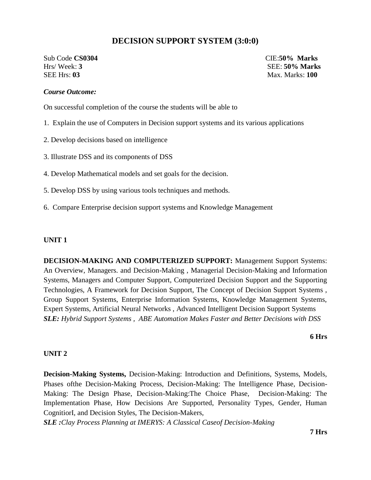# **DECISION SUPPORT SYSTEM (3:0:0)**

Sub Code **CS0304** CIE:**50% Marks** Hrs/ Week: **3** SEE: **50% Marks** SEE Hrs: **03** Max. Marks: **100**

#### *Course Outcome:*

On successful completion of the course the students will be able to

- 1. Explain the use of Computers in Decision support systems and its various applications
- 2. Develop decisions based on intelligence
- 3. Illustrate DSS and its components of DSS
- 4. Develop Mathematical models and set goals for the decision.
- 5. Develop DSS by using various tools techniques and methods.
- 6. Compare Enterprise decision support systems and Knowledge Management

#### **UNIT 1**

**DECISION-MAKING AND COMPUTERIZED SUPPORT:** Management Support Systems: An Overview, Managers. and Decision-Making , Managerial Decision-Making and Information Systems, Managers and Computer Support, Computerized Decision Support and the Supporting Technologies, A Framework for Decision Support, The Concept of Decision Support Systems , Group Support Systems, Enterprise Information Systems, Knowledge Management Systems, Expert Systems, Artificial Neural Networks , Advanced Intelligent Decision Support Systems *SLE: Hybrid Support Systems , ABE Automation Makes Faster and Better Decisions with DSS* 

**6 Hrs**

#### **UNIT 2**

**Decision-Making Systems,** Decision-Making: Introduction and Definitions, Systems, Models, Phases ofthe Decision-Making Process, Decision-Making: The Intelligence Phase, Decision-Making: The Design Phase, Decision-Making:The Choice Phase, Decision-Making: The Implementation Phase, How Decisions Are Supported, Personality Types, Gender, Human CognitiorI, and Decision Styles, The Decision-Makers,

*SLE :Clay Process Planning at IMERYS: A Classical Caseof Decision-Making*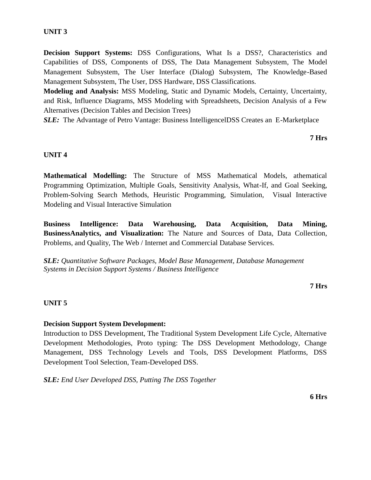**Decision Support Systems:** DSS Configurations, What Is a DSS?, Characteristics and Capabilities of DSS, Components of DSS, The Data Management Subsystem, The Model Management Subsystem, The User Interface (Dialog) Subsystem, The Knowledge-Based Management Subsystem, The User, DSS Hardware, DSS Classifications.

**Modeliug and Analysis:** MSS Modeling, Static and Dynamic Models, Certainty, Uncertainty, and Risk, Influence Diagrams, MSS Modeling with Spreadsheets, Decision Analysis of a Few Alternatives (Decision Tables and Decision Trees)

*SLE:* The Advantage of Petro Vantage: Business IntelligencelDSS Creates an E-Marketplace

**7 Hrs**

#### **UNIT 4**

**Mathematical Modelling:** The Structure of MSS Mathematical Models, athematical Programming Optimization, Multiple Goals, Sensitivity Analysis, What-If, and Goal Seeking, Problem-Solving Search Methods, Heuristic Programming, Simulation, Visual Interactive Modeling and Visual Interactive Simulation

**Business Intelligence: Data Warehousing, Data Acquisition, Data Mining, BusinessAnalytics, and Visualization:** The Nature and Sources of Data, Data Collection, Problems, and Quality, The Web / Internet and Commercial Database Services.

*SLE: Quantitative Software Packages, Model Base Management, Database Management Systems in Decision Support Systems / Business Intelligence* 

#### **7 Hrs**

### **UNIT 5**

#### **Decision Support System Development:**

Introduction to DSS Development, The Traditional System Development Life Cycle, Alternative Development Methodologies, Proto typing: The DSS Development Methodology, Change Management, DSS Technology Levels and Tools, DSS Development Platforms, DSS Development Tool Selection, Team-Developed DSS.

*SLE: End User Developed DSS, Putting The DSS Together* 

**6 Hrs**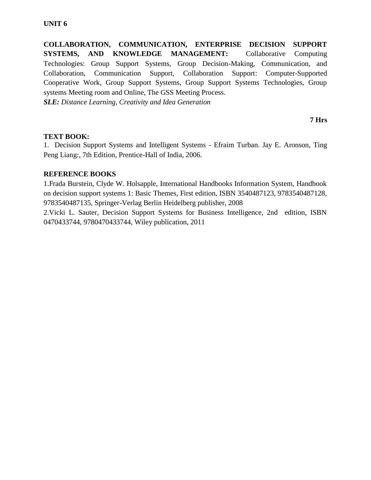**COLLABORATION, COMMUNICATION, ENTERPRISE DECISION SUPPORT SYSTEMS, AND KNOWLEDGE MANAGEMENT:** Collaborative Computing Technologies: Group Support Systems, Group Decision-Making, Communication, and Collaboration, Communication Support, Collaboration Support: Computer-Supported Cooperative Work, Group Support Systems, Group Support Systems Technologies, Group systems Meeting room and Online, The GSS Meeting Process.

*SLE: Distance Learning, Creativity and Idea Generation* 

#### **7 Hrs**

#### **TEXT BOOK:**

1. Decision Support Systems and Intelligent Systems - Efraim Turban. Jay E. Aronson, Ting Peng Liang:, 7th Edition, Prentice-Hall of India, 2006.

#### **REFERENCE BOOKS**

1.Frada Burstein, Clyde W. Holsapple, International Handbooks Information System, Handbook on decision support systems 1: Basic Themes, First edition, ISBN 3540487123, 9783540487128, 9783540487135, Springer-Verlag Berlin Heidelberg publisher, 2008

2.Vicki L. Sauter, Decision Support Systems for Business Intelligence, 2nd edition, ISBN 0470433744, 9780470433744, Wiley publication, 2011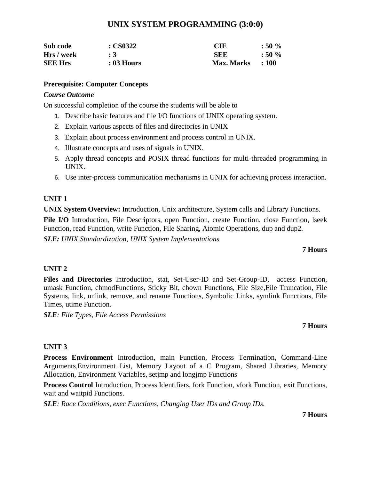# **UNIX SYSTEM PROGRAMMING (3:0:0)**

| Sub code       | $\cdot$ CS0322 | CIE               | :50%          |
|----------------|----------------|-------------------|---------------|
| Hrs / week     | :3             | SEE               | $:50\%$       |
| <b>SEE Hrs</b> | $: 03$ Hours   | <b>Max. Marks</b> | $\cdot$ : 100 |

#### **Prerequisite: Computer Concepts**

#### *Course Outcome*

On successful completion of the course the students will be able to

- 1. Describe basic features and file I/O functions of UNIX operating system.
- 2. Explain various aspects of files and directories in UNIX
- 3. Explain about process environment and process control in UNIX.
- 4. Illustrate concepts and uses of signals in UNIX.
- 5. Apply thread concepts and POSIX thread functions for multi-threaded programming in UNIX.
- 6. Use inter-process communication mechanisms in UNIX for achieving process interaction.

### **UNIT 1**

**UNIX System Overview:** Introduction, Unix architecture, System calls and Library Functions.

File I/O Introduction, File Descriptors, open Function, create Function, close Function, lseek Function, read Function, write Function, File Sharing, Atomic Operations, dup and dup2.

*SLE: UNIX Standardization, UNIX System Implementations*

#### **7 Hours**

### **UNIT 2**

**Files and Directories** Introduction, stat, Set-User-ID and Set-Group-ID, access Function, umask Function, chmodFunctions, Sticky Bit, chown Functions, File Size,File Truncation, File Systems, link, unlink, remove, and rename Functions, Symbolic Links, symlink Functions, File Times, utime Function.

*SLE: File Types, File Access Permissions*

### **7 Hours**

### **UNIT 3**

**Process Environment** Introduction, main Function, Process Termination, Command-Line Arguments,Environment List, Memory Layout of a C Program, Shared Libraries, Memory Allocation, Environment Variables, setjmp and longjmp Functions

**Process Control** Introduction, Process Identifiers, fork Function, vfork Function, exit Functions, wait and waitpid Functions.

*SLE: Race Conditions, exec Functions, Changing User IDs and Group IDs.*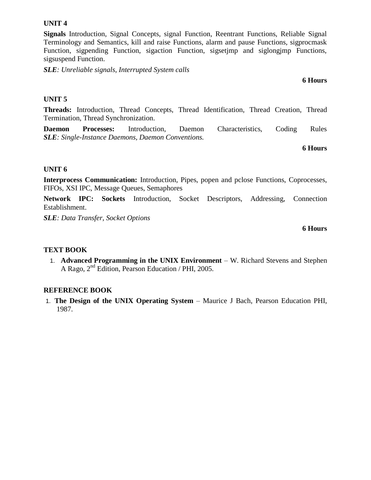**Threads:** Introduction, Thread Concepts, Thread Identification, Thread Creation, Thread Termination, Thread Synchronization.

**Daemon Processes:** Introduction, Daemon Characteristics, Coding Rules *SLE: Single-Instance Daemons, Daemon Conventions.*

## **UNIT 6**

**Interprocess Communication:** Introduction, Pipes, popen and pclose Functions, Coprocesses, FIFOs, XSI IPC, Message Queues, Semaphores

**Network IPC: Sockets** Introduction, Socket Descriptors, Addressing, Connection Establishment.

*SLE: Data Transfer, Socket Options*

#### **TEXT BOOK**

1. **Advanced Programming in the UNIX Environment** – W. Richard Stevens and Stephen A Rago,  $2<sup>nd</sup>$  Edition, Pearson Education / PHI, 2005.

#### **REFERENCE BOOK**

1. **The Design of the UNIX Operating System** – Maurice J Bach, Pearson Education PHI, 1987.

#### **UNIT 4**

**Signals** Introduction, Signal Concepts, signal Function, Reentrant Functions, Reliable Signal Terminology and Semantics, kill and raise Functions, alarm and pause Functions, sigprocmask Function, sigpending Function, sigaction Function, sigsetjmp and siglongjmp Functions, sigsuspend Function.

*SLE: Unreliable signals, Interrupted System calls*

**6 Hours**

# **6 Hours**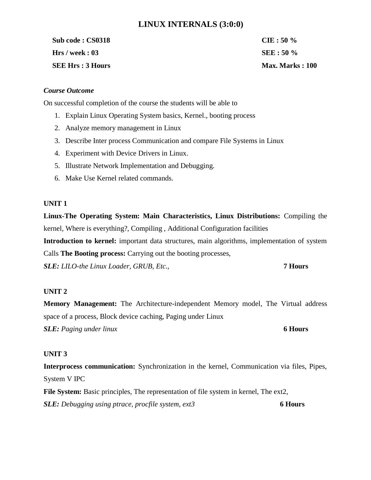# **LINUX INTERNALS (3:0:0)**

**Sub code : CS0318 CIE : 50 % Hrs / week : 03 SEE : 50 % SEE Hrs : 3 Hours Max. Marks : 100** 

#### *Course Outcome*

On successful completion of the course the students will be able to

- 1. Explain Linux Operating System basics, Kernel., booting process
- 2. Analyze memory management in Linux
- 3. Describe Inter process Communication and compare File Systems in Linux
- 4. Experiment with Device Drivers in Linux.
- 5. Illustrate Network Implementation and Debugging.
- 6. Make Use Kernel related commands.

#### **UNIT 1**

**Linux-The Operating System: Main Characteristics, Linux Distributions:** Compiling the kernel, Where is everything?, Compiling , Additional Configuration facilities

**Introduction to kernel:** important data structures, main algorithms, implementation of system Calls **The Booting process:** Carrying out the booting processes,

*SLE: LILO-the Linux Loader, GRUB, Etc.,* **7 Hours**

# **UNIT 2**

**Memory Management:** The Architecture-independent Memory model, The Virtual address space of a process, Block device caching, Paging under Linux *SLE: Paging under linux* **6 Hours**

### **UNIT 3**

**Interprocess communication:** Synchronization in the kernel, Communication via files, Pipes, System V IPC

File System: Basic principles, The representation of file system in kernel, The ext2, *SLE: Debugging using ptrace, procfile system, ext3* **6 Hours**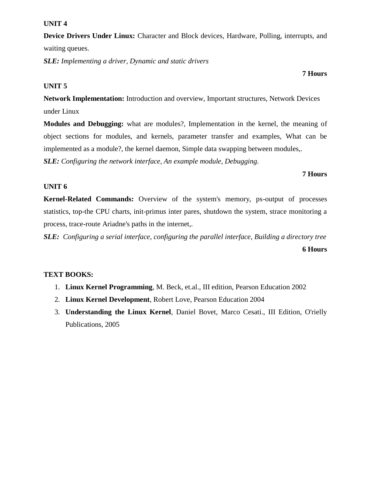**Device Drivers Under Linux:** Character and Block devices, Hardware, Polling, interrupts, and waiting queues.

*SLE: Implementing a driver, Dynamic and static drivers*

#### **UNIT 5**

**Network Implementation:** Introduction and overview, Important structures, Network Devices under Linux

**Modules and Debugging:** what are modules?, Implementation in the kernel, the meaning of object sections for modules, and kernels, parameter transfer and examples, What can be implemented as a module?, the kernel daemon, Simple data swapping between modules,.

*SLE: Configuring the network interface, An example module, Debugging.*

#### **7 Hours**

#### **UNIT 6**

**Kernel-Related Commands:** Overview of the system's memory, ps-output of processes statistics, top-the CPU charts, init-primus inter pares, shutdown the system, strace monitoring a process, trace-route Ariadne's paths in the internet,.

*SLE: Configuring a serial interface, configuring the parallel interface, Building a directory tree* **6 Hours**

### **TEXT BOOKS:**

- 1. **Linux Kernel Programming**, M. Beck, et.al., III edition, Pearson Education 2002
- 2. **Linux Kernel Development**, Robert Love, Pearson Education 2004
- 3. **Understanding the Linux Kernel**, Daniel Bovet, Marco Cesati., III Edition, O'rielly Publications, 2005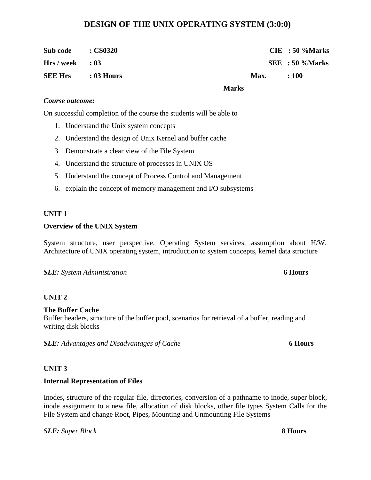# **DESIGN OF THE UNIX OPERATING SYSTEM (3:0:0)**

| Sub code                  | $\cdot$ CS0320 |              |      | $CIE$ : 50 %Marks |
|---------------------------|----------------|--------------|------|-------------------|
| $Hrs/week$ : 03           |                |              |      | SEE : 50 %Marks   |
| <b>SEE Hrs</b> : 03 Hours |                |              | Max. | :100              |
|                           |                | <b>Marks</b> |      |                   |

#### *Course outcome:*

On successful completion of the course the students will be able to

- 1. Understand the Unix system concepts
- 2. Understand the design of Unix Kernel and buffer cache
- 3. Demonstrate a clear view of the File System
- 4. Understand the structure of processes in UNIX OS
- 5. Understand the concept of Process Control and Management
- 6. explain the concept of memory management and I/O subsystems

#### **UNIT 1**

#### **Overview of the UNIX System**

System structure, user perspective, Operating System services, assumption about H/W. Architecture of UNIX operating system, introduction to system concepts, kernel data structure

#### *SLE: System Administration* **6 Hours**

#### **UNIT 2**

#### **The Buffer Cache**

Buffer headers, structure of the buffer pool, scenarios for retrieval of a buffer, reading and writing disk blocks

*SLE: Advantages and Disadvantages of Cache* **6 Hours**

#### **UNIT 3**

#### **Internal Representation of Files**

Inodes, structure of the regular file, directories, conversion of a pathname to inode, super block, inode assignment to a new file, allocation of disk blocks, other file types System Calls for the File System and change Root, Pipes, Mounting and Unmounting File Systems

*SLE: Super Block* **8 Hours**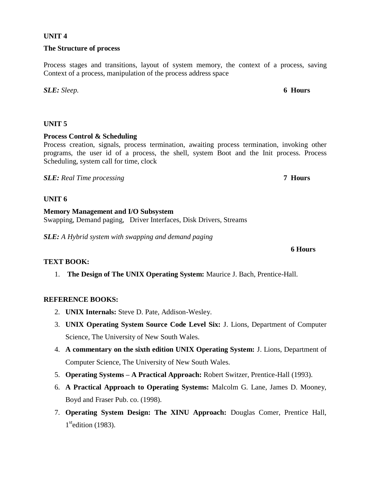#### **Process Control & Scheduling**

Process creation, signals, process termination, awaiting process termination, invoking other programs, the user id of a process, the shell, system Boot and the Init process. Process Scheduling, system call for time, clock

*SLE: Real Time processing* **7 Hours**

#### **UNIT 6**

**Memory Management and I/O Subsystem** Swapping, Demand paging, Driver Interfaces, Disk Drivers, Streams

*SLE: A Hybrid system with swapping and demand paging*

### **TEXT BOOK:**

1. **The Design of The UNIX Operating System:** Maurice J. Bach, Prentice-Hall.

### **REFERENCE BOOKS:**

- 2. **UNIX Internals:** Steve D. Pate, Addison-Wesley.
- 3. **UNIX Operating System Source Code Level Six:** J. Lions, Department of Computer Science, The University of New South Wales.
- 4. **A commentary on the sixth edition UNIX Operating System:** J. Lions, Department of Computer Science, The University of New South Wales.
- 5. **Operating Systems – A Practical Approach:** Robert Switzer, Prentice-Hall (1993).
- 6. **A Practical Approach to Operating Systems:** Malcolm G. Lane, James D. Mooney, Boyd and Fraser Pub. co. (1998).
- 7. **Operating System Design: The XINU Approach:** Douglas Comer, Prentice Hall, 1<sup>st</sup>edition (1983).

#### **UNIT 4**

#### **The Structure of process**

Process stages and transitions, layout of system memory, the context of a process, saving Context of a process, manipulation of the process address space

*SLE: Sleep.* **6 Hours**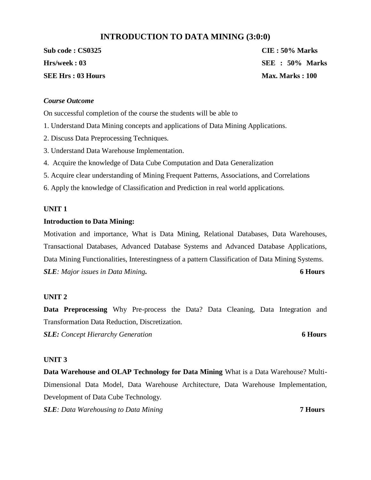# **INTRODUCTION TO DATA MINING (3:0:0)**

**Sub code : CS0325 CIE : 50% Marks SEE Hrs : 03 Hours Max. Marks : 100** 

**Hrs/week : 03 SEE : 50% Marks** 

#### *Course Outcome*

On successful completion of the course the students will be able to

- 1. Understand Data Mining concepts and applications of Data Mining Applications.
- 2. Discuss Data Preprocessing Techniques.
- 3. Understand Data Warehouse Implementation.
- 4. Acquire the knowledge of Data Cube Computation and Data Generalization
- 5. Acquire clear understanding of Mining Frequent Patterns, Associations, and Correlations
- 6. Apply the knowledge of Classification and Prediction in real world applications.

#### **UNIT 1**

#### **Introduction to Data Mining:**

Motivation and importance, What is Data Mining, Relational Databases, Data Warehouses, Transactional Databases, Advanced Database Systems and Advanced Database Applications, Data Mining Functionalities, Interestingness of a pattern Classification of Data Mining Systems. *SLE: Major issues in Data Mining.* **6 Hours** 

#### **UNIT 2**

**Data Preprocessing** Why Pre-process the Data? Data Cleaning, Data Integration and Transformation Data Reduction, Discretization.

*SLE: Concept Hierarchy Generation* **6 Hours** 

#### **UNIT 3**

**Data Warehouse and OLAP Technology for Data Mining** What is a Data Warehouse? Multi-Dimensional Data Model, Data Warehouse Architecture, Data Warehouse Implementation, Development of Data Cube Technology.

*SLE: Data Warehousing to Data Mining* **7 Hours**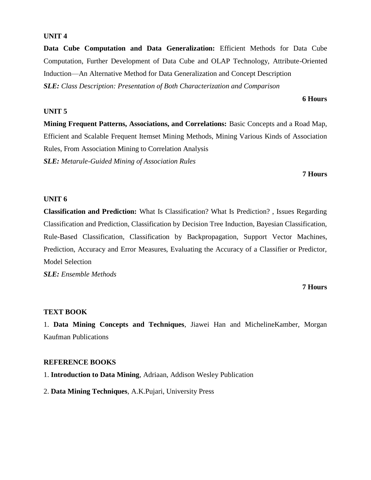**Data Cube Computation and Data Generalization:** Efficient Methods for Data Cube Computation, Further Development of Data Cube and OLAP Technology, Attribute-Oriented Induction—An Alternative Method for Data Generalization and Concept Description *SLE: Class Description: Presentation of Both Characterization and Comparison* 

#### **UNIT 5**

**Mining Frequent Patterns, Associations, and Correlations:** Basic Concepts and a Road Map, Efficient and Scalable Frequent Itemset Mining Methods, Mining Various Kinds of Association Rules, From Association Mining to Correlation Analysis *SLE: Metarule-Guided Mining of Association Rules* 

#### **7 Hours**

**6 Hours**

#### **UNIT 6**

**Classification and Prediction:** What Is Classification? What Is Prediction? , Issues Regarding Classification and Prediction, Classification by Decision Tree Induction, Bayesian Classification, Rule-Based Classification, Classification by Backpropagation, Support Vector Machines, Prediction, Accuracy and Error Measures, Evaluating the Accuracy of a Classifier or Predictor, Model Selection

*SLE: Ensemble Methods* 

#### **7 Hours**

#### **TEXT BOOK**

1. **Data Mining Concepts and Techniques**, Jiawei Han and MichelineKamber, Morgan Kaufman Publications

#### **REFERENCE BOOKS**

1. **Introduction to Data Mining**, Adriaan, Addison Wesley Publication

2. **Data Mining Techniques**, A.K.Pujari, University Press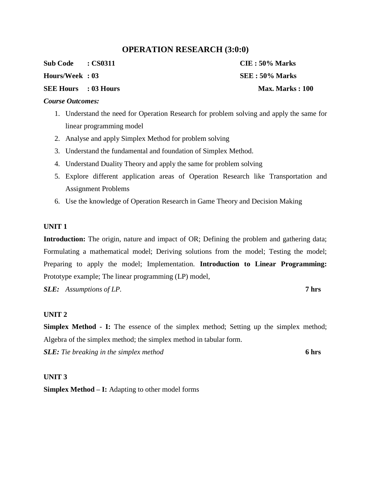# **OPERATION RESEARCH (3:0:0)**

**Sub Code : CS0311 CIE : 50% Marks** 

#### **SEE Hours : 03 Hours Max. Marks : 100 and Max. Marks : 100**

#### *Course Outcomes:*

- 1. Understand the need for Operation Research for problem solving and apply the same for linear programming model
- 2. Analyse and apply Simplex Method for problem solving
- 3. Understand the fundamental and foundation of Simplex Method.
- 4. Understand Duality Theory and apply the same for problem solving
- 5. Explore different application areas of Operation Research like Transportation and Assignment Problems
- 6. Use the knowledge of Operation Research in Game Theory and Decision Making

#### **UNIT 1**

**Introduction:** The origin, nature and impact of OR; Defining the problem and gathering data; Formulating a mathematical model; Deriving solutions from the model; Testing the model; Preparing to apply the model; Implementation. **Introduction to Linear Programming:**  Prototype example; The linear programming (LP) model,

*SLE: Assumptions of LP.* **7 hrs**

#### **UNIT 2**

**Simplex Method - I:** The essence of the simplex method; Setting up the simplex method; Algebra of the simplex method; the simplex method in tabular form. *SLE: Tie breaking in the simplex method* **6 hrs**

#### **UNIT 3**

**Simplex Method – I:** Adapting to other model forms

**Hours/Week : 03 SEE : 50% Marks**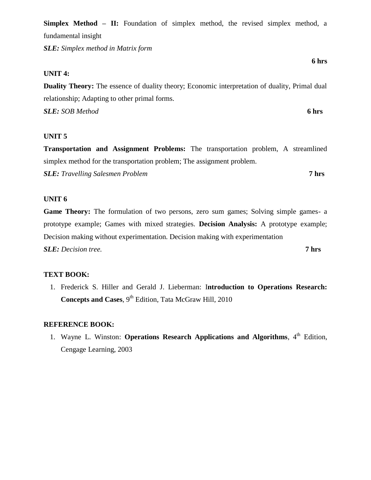**Simplex Method – II:** Foundation of simplex method, the revised simplex method, a fundamental insight

*SLE: Simplex method in Matrix form*

#### **UNIT 4:**

**Duality Theory:** The essence of duality theory; Economic interpretation of duality, Primal dual relationship; Adapting to other primal forms.

*SLE: SOB Method* **6 hrs**

#### **UNIT 5**

**Transportation and Assignment Problems:** The transportation problem, A streamlined simplex method for the transportation problem; The assignment problem.

*SLE: Travelling Salesmen Problem* **7 hrs**

#### **UNIT 6**

**Game Theory:** The formulation of two persons, zero sum games; Solving simple games- a prototype example; Games with mixed strategies. **Decision Analysis:** A prototype example; Decision making without experimentation. Decision making with experimentation *SLE: Decision tree.* **7 hrs**

#### **TEXT BOOK:**

1. Frederick S. Hiller and Gerald J. Lieberman: I**ntroduction to Operations Research: Concepts and Cases**, 9<sup>th</sup> Edition, Tata McGraw Hill, 2010

#### **REFERENCE BOOK:**

1. Wayne L. Winston: **Operations Research Applications and Algorithms**, 4<sup>th</sup> Edition, Cengage Learning, 2003

**6 hrs**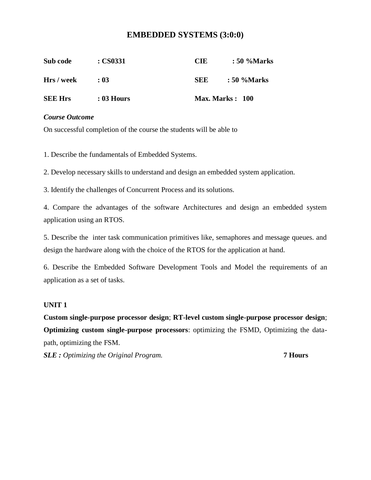# **EMBEDDED SYSTEMS (3:0:0)**

| Sub code       | $\therefore$ CS0331 | <b>CIE</b> | : 50 %Marks             |
|----------------|---------------------|------------|-------------------------|
| Hrs / week     | : 03                | <b>SEE</b> | : 50 %Marks             |
| <b>SEE Hrs</b> | $: 03$ Hours        |            | <b>Max. Marks</b> : 100 |

#### *Course Outcome*

On successful completion of the course the students will be able to

1. Describe the fundamentals of Embedded Systems.

2. Develop necessary skills to understand and design an embedded system application.

3. Identify the challenges of Concurrent Process and its solutions.

4. Compare the advantages of the software Architectures and design an embedded system application using an RTOS.

5. Describe the inter task communication primitives like, semaphores and message queues. and design the hardware along with the choice of the RTOS for the application at hand.

6. Describe the Embedded Software Development Tools and Model the requirements of an application as a set of tasks.

#### **UNIT 1**

**Custom single-purpose processor design**; **RT-level custom single-purpose processor design**; **Optimizing custom single-purpose processors**: optimizing the FSMD, Optimizing the datapath, optimizing the FSM.

*SLE : Optimizing the Original Program.* **7 Hours**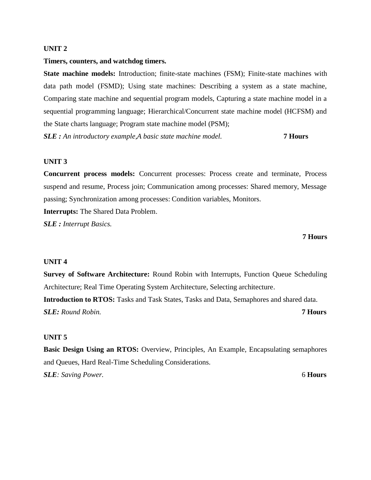#### **Timers, counters, and watchdog timers.**

**State machine models:** Introduction; finite-state machines (FSM); Finite-state machines with data path model (FSMD); Using state machines: Describing a system as a state machine, Comparing state machine and sequential program models, Capturing a state machine model in a sequential programming language; Hierarchical/Concurrent state machine model (HCFSM) and the State charts language; Program state machine model (PSM);

*SLE : An introductory example,A basic state machine model.* **7 Hours** 

#### **UNIT 3**

**Concurrent process models:** Concurrent processes: Process create and terminate, Process suspend and resume, Process join; Communication among processes: Shared memory, Message passing; Synchronization among processes: Condition variables, Monitors.

**Interrupts:** The Shared Data Problem.

*SLE : Interrupt Basics.* 

#### **7 Hours**

#### **UNIT 4**

**Survey of Software Architecture:** Round Robin with Interrupts, Function Queue Scheduling Architecture; Real Time Operating System Architecture, Selecting architecture*.* 

**Introduction to RTOS:** Tasks and Task States, Tasks and Data, Semaphores and shared data. *SLE: Round Robin.* **7 Hours** 

#### **UNIT 5**

**Basic Design Using an RTOS:** Overview, Principles, An Example, Encapsulating semaphores and Queues, Hard Real-Time Scheduling Considerations. *SLE: Saving Power.* 6 **Hours**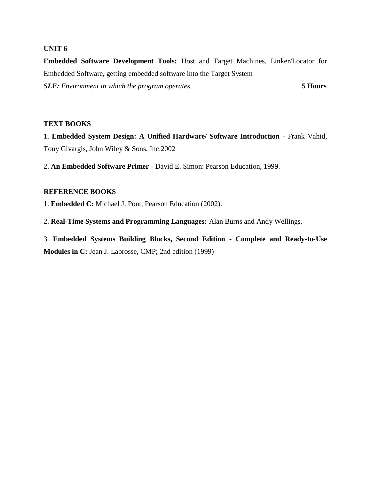**Embedded Software Development Tools:** Host and Target Machines, Linker/Locator for Embedded Software, getting embedded software into the Target System *SLE: Environment in which the program operates.* **5 Hours** 

#### **TEXT BOOKS**

1. **Embedded System Design: A Unified Hardware/ Software Introduction** - Frank Vahid, Tony Givargis, John Wiley & Sons, Inc.2002

2. **An Embedded Software Primer** - David E. Simon: Pearson Education, 1999.

#### **REFERENCE BOOKS**

1. **Embedded C:** Michael J. Pont, Pearson Education (2002).

2. **Real-Time Systems and Programming Languages:** Alan Burns and Andy Wellings,

3. **Embedded Systems Building Blocks, Second Edition - Complete and Ready-to-Use Modules in C:** Jean J. Labrosse, CMP; 2nd edition (1999)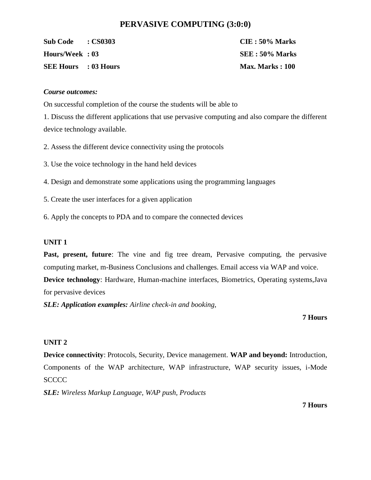# **PERVASIVE COMPUTING (3:0:0)**

**Sub Code : CS0303 CIE : 50% Marks Hours/Week : 03 SEE : 50% Marks SEE Hours** : 03 Hours **Max. Marks : 100** 

#### *Course outcomes:*

On successful completion of the course the students will be able to

1. Discuss the different applications that use pervasive computing and also compare the different device technology available.

2. Assess the different device connectivity using the protocols

- 3. Use the voice technology in the hand held devices
- 4. Design and demonstrate some applications using the programming languages
- 5. Create the user interfaces for a given application
- 6. Apply the concepts to PDA and to compare the connected devices

#### **UNIT 1**

**Past, present, future**: The vine and fig tree dream, Pervasive computing, the pervasive computing market, m-Business Conclusions and challenges. Email access via WAP and voice. **Device technology**: Hardware, Human-machine interfaces, Biometrics, Operating systems,Java

for pervasive devices

*SLE: Application examples: Airline check-in and booking,* 

#### **7 Hours**

#### **UNIT 2**

**Device connectivity**: Protocols, Security, Device management. **WAP and beyond:** Introduction, Components of the WAP architecture, WAP infrastructure, WAP security issues, i-Mode **SCCCC** 

*SLE: Wireless Markup Language, WAP push, Products*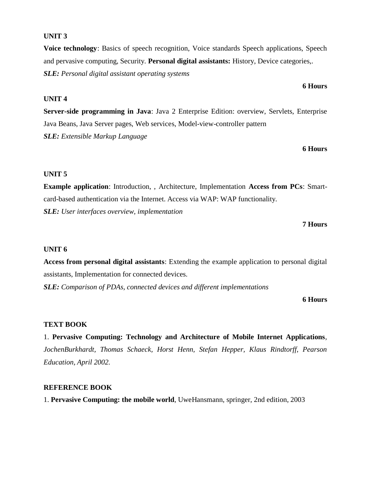**Voice technology**: Basics of speech recognition, Voice standards Speech applications, Speech and pervasive computing, Security. **Personal digital assistants:** History, Device categories,. *SLE: Personal digital assistant operating systems* 

#### **UNIT 4**

**Server-side programming in Java**: Java 2 Enterprise Edition: overview, Servlets, Enterprise Java Beans, Java Server pages, Web services, Model-view-controller pattern *SLE: Extensible Markup Language* 

**6 Hours** 

#### **UNIT 5**

**Example application**: Introduction, , Architecture, Implementation **Access from PCs**: Smartcard-based authentication via the Internet. Access via WAP: WAP functionality. *SLE: User interfaces overview, implementation* 

#### **7 Hours**

#### **UNIT 6**

**Access from personal digital assistants**: Extending the example application to personal digital assistants, Implementation for connected devices.

*SLE: Comparison of PDAs, connected devices and different implementations* 

#### **6 Hours**

#### **TEXT BOOK**

1. **Pervasive Computing: Technology and Architecture of Mobile Internet Applications**, *JochenBurkhardt, Thomas Schaeck, Horst Henn, Stefan Hepper, Klaus Rindtorff, Pearson Education, April 2002.* 

#### **REFERENCE BOOK**

1. **Pervasive Computing: the mobile world**, UweHansmann, springer, 2nd edition, 2003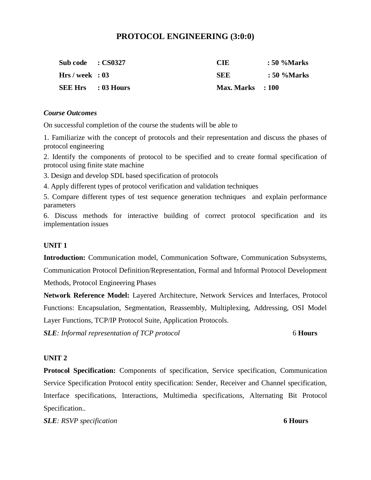# **PROTOCOL ENGINEERING (3:0:0)**

| Sub code : CS0327         | CIE                | $\therefore$ 50 %Marks |
|---------------------------|--------------------|------------------------|
| Hrs/week : 03             | SEE                | $\therefore$ 50 %Marks |
| <b>SEE Hrs</b> : 03 Hours | $Max. Marks$ : 100 |                        |

#### *Course Outcomes*

On successful completion of the course the students will be able to

1. Familiarize with the concept of protocols and their representation and discuss the phases of protocol engineering

2. Identify the components of protocol to be specified and to create formal specification of protocol using finite state machine

3. Design and develop SDL based specification of protocols

4. Apply different types of protocol verification and validation techniques

5. Compare different types of test sequence generation techniques and explain performance parameters

6. Discuss methods for interactive building of correct protocol specification and its implementation issues

#### **UNIT 1**

**Introduction:** Communication model, Communication Software, Communication Subsystems,

Communication Protocol Definition/Representation, Formal and Informal Protocol Development Methods, Protocol Engineering Phases

**Network Reference Model:** Layered Architecture, Network Services and Interfaces, Protocol Functions: Encapsulation, Segmentation, Reassembly, Multiplexing, Addressing, OSI Model Layer Functions, TCP/IP Protocol Suite, Application Protocols.

*SLE: Informal representation of TCP protocol* 6 **Hours**

#### **UNIT 2**

**Protocol Specification:** Components of specification, Service specification, Communication Service Specification Protocol entity specification: Sender, Receiver and Channel specification, Interface specifications, Interactions, Multimedia specifications, Alternating Bit Protocol Specification..

*SLE: RSVP specification* **6 Hours**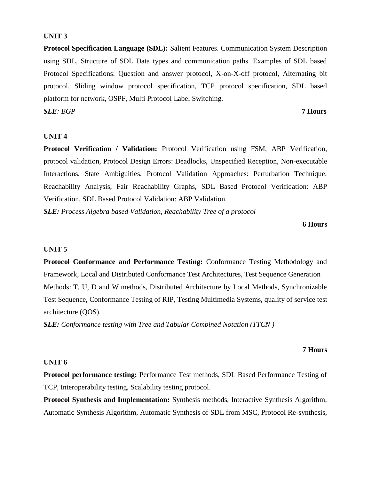**Protocol Specification Language (SDL):** Salient Features. Communication System Description using SDL, Structure of SDL Data types and communication paths. Examples of SDL based Protocol Specifications: Question and answer protocol, X-on-X-off protocol, Alternating bit protocol, Sliding window protocol specification, TCP protocol specification, SDL based platform for network, OSPF, Multi Protocol Label Switching.

*SLE: BGP* **7 Hours** 

#### **UNIT 4**

**Protocol Verification / Validation:** Protocol Verification using FSM, ABP Verification, protocol validation, Protocol Design Errors: Deadlocks, Unspecified Reception, Non-executable Interactions, State Ambiguities, Protocol Validation Approaches: Perturbation Technique, Reachability Analysis, Fair Reachability Graphs, SDL Based Protocol Verification: ABP Verification, SDL Based Protocol Validation: ABP Validation.

*SLE: Process Algebra based Validation, Reachability Tree of a protocol* 

#### **6 Hours**

#### **UNIT 5**

**Protocol Conformance and Performance Testing:** Conformance Testing Methodology and Framework, Local and Distributed Conformance Test Architectures, Test Sequence Generation Methods: T, U, D and W methods, Distributed Architecture by Local Methods, Synchronizable Test Sequence, Conformance Testing of RIP, Testing Multimedia Systems, quality of service test architecture (QOS).

*SLE: Conformance testing with Tree and Tabular Combined Notation (TTCN )*

#### **7 Hours**

#### **UNIT 6**

**Protocol performance testing:** Performance Test methods, SDL Based Performance Testing of TCP, Interoperability testing, Scalability testing protocol.

**Protocol Synthesis and Implementation:** Synthesis methods, Interactive Synthesis Algorithm, Automatic Synthesis Algorithm, Automatic Synthesis of SDL from MSC, Protocol Re-synthesis,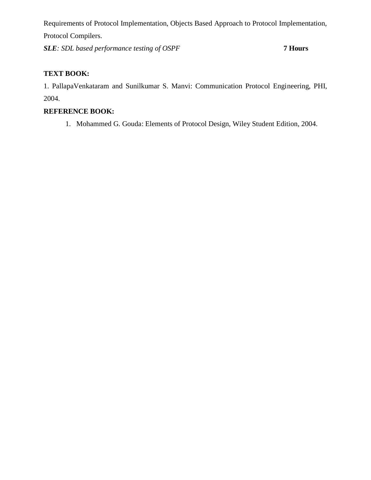Requirements of Protocol Implementation, Objects Based Approach to Protocol Implementation, Protocol Compilers.

*SLE: SDL based performance testing of OSPF* **7 Hours** 

# **TEXT BOOK:**

1. PallapaVenkataram and Sunilkumar S. Manvi: Communication Protocol Engineering, PHI, 2004.

# **REFERENCE BOOK:**

1. Mohammed G. Gouda: Elements of Protocol Design, Wiley Student Edition, 2004.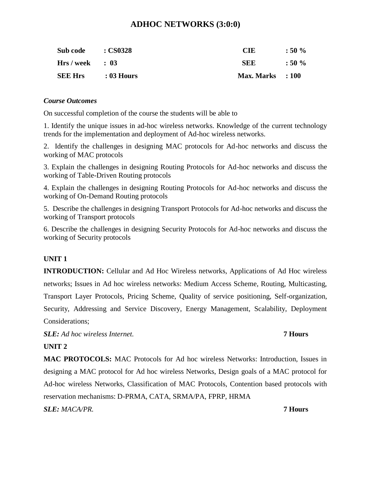# **ADHOC NETWORKS (3:0:0)**

| Sub code        | <b>: CS0328</b> | CIE                | $:50\%$ |
|-----------------|-----------------|--------------------|---------|
| $Hrs/week$ : 03 |                 | SEE                | $:50\%$ |
| <b>SEE Hrs</b>  | : 03 Hours      | $Max. Marks$ : 100 |         |

#### *Course Outcomes*

On successful completion of the course the students will be able to

1. Identify the unique issues in ad-hoc wireless networks. Knowledge of the current technology trends for the implementation and deployment of Ad-hoc wireless networks.

2. Identify the challenges in designing MAC protocols for Ad-hoc networks and discuss the working of MAC protocols

3. Explain the challenges in designing Routing Protocols for Ad-hoc networks and discuss the working of Table-Driven Routing protocols

4. Explain the challenges in designing Routing Protocols for Ad-hoc networks and discuss the working of On-Demand Routing protocols

5. Describe the challenges in designing Transport Protocols for Ad-hoc networks and discuss the working of Transport protocols

6. Describe the challenges in designing Security Protocols for Ad-hoc networks and discuss the working of Security protocols

### **UNIT 1**

**INTRODUCTION:** Cellular and Ad Hoc Wireless networks, Applications of Ad Hoc wireless networks; Issues in Ad hoc wireless networks: Medium Access Scheme, Routing, Multicasting, Transport Layer Protocols, Pricing Scheme, Quality of service positioning, Self-organization, Security, Addressing and Service Discovery, Energy Management, Scalability, Deployment Considerations;

*SLE: Ad hoc wireless Internet.* **7 Hours** 

### **UNIT 2**

**MAC PROTOCOLS:** MAC Protocols for Ad hoc wireless Networks: Introduction, Issues in designing a MAC protocol for Ad hoc wireless Networks, Design goals of a MAC protocol for Ad-hoc wireless Networks, Classification of MAC Protocols, Contention based protocols with reservation mechanisms: D-PRMA, CATA, SRMA/PA, FPRP, HRMA

### *SLE: MACA/PR.* **7 Hours**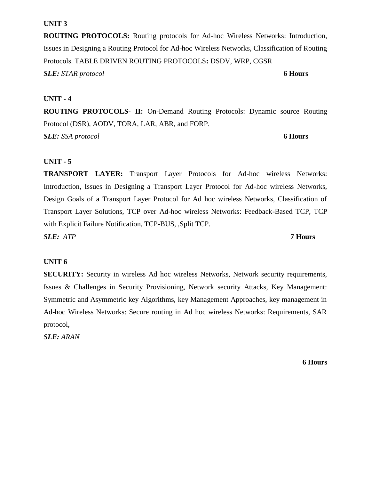**ROUTING PROTOCOLS:** Routing protocols for Ad-hoc Wireless Networks: Introduction, Issues in Designing a Routing Protocol for Ad-hoc Wireless Networks, Classification of Routing Protocols. TABLE DRIVEN ROUTING PROTOCOLS**:** DSDV, WRP, CGSR

*SLE: STAR protocol* **6 Hours** 

### **UNIT - 4**

**ROUTING PROTOCOLS- II:** On-Demand Routing Protocols: Dynamic source Routing Protocol (DSR), AODV, TORA, LAR, ABR, and FORP.

*SLE: SSA protocol* **6 Hours** 

# **UNIT - 5**

**TRANSPORT LAYER:** Transport Layer Protocols for Ad-hoc wireless Networks: Introduction, Issues in Designing a Transport Layer Protocol for Ad-hoc wireless Networks, Design Goals of a Transport Layer Protocol for Ad hoc wireless Networks, Classification of Transport Layer Solutions, TCP over Ad-hoc wireless Networks: Feedback-Based TCP, TCP with Explicit Failure Notification, TCP-BUS, ,Split TCP.

*SLE: ATP* **7 Hours** 

### **UNIT 6**

**SECURITY:** Security in wireless Ad hoc wireless Networks, Network security requirements, Issues & Challenges in Security Provisioning, Network security Attacks, Key Management: Symmetric and Asymmetric key Algorithms, key Management Approaches, key management in Ad-hoc Wireless Networks: Secure routing in Ad hoc wireless Networks: Requirements, SAR protocol,

*SLE: ARAN*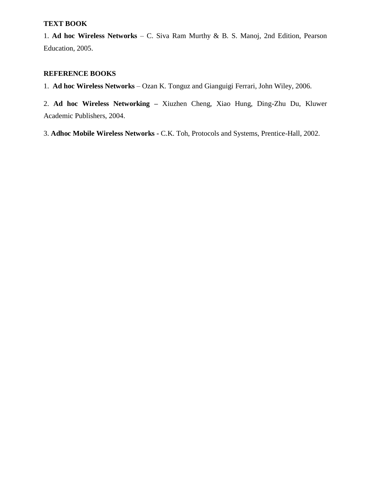#### **TEXT BOOK**

1. **Ad hoc Wireless Networks** – C. Siva Ram Murthy & B. S. Manoj, 2nd Edition, Pearson Education, 2005.

# **REFERENCE BOOKS**

1. **Ad hoc Wireless Networks** – Ozan K. Tonguz and Gianguigi Ferrari, John Wiley, 2006.

2. **Ad hoc Wireless Networking –** Xiuzhen Cheng, Xiao Hung, Ding-Zhu Du, Kluwer Academic Publishers, 2004.

3. **Adhoc Mobile Wireless Networks -** C.K. Toh, Protocols and Systems, Prentice-Hall, 2002.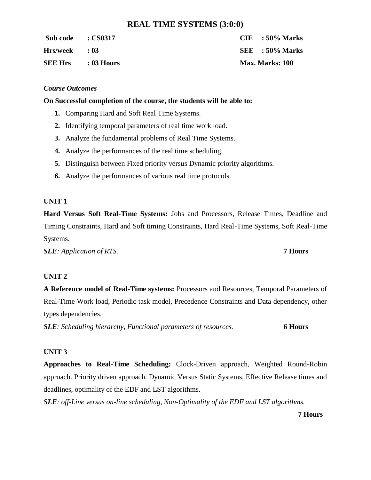# **REAL TIME SYSTEMS (3:0:0)**

| Sub code : CS0317         |  | $CIE$ : 50% Marks      |
|---------------------------|--|------------------------|
| Hrs/week : 03             |  | $SEE = 50\%$ Marks     |
| <b>SEE Hrs</b> : 03 Hours |  | <b>Max. Marks: 100</b> |

#### *Course Outcomes*

#### **On Successful completion of the course, the students will be able to:**

- **1.** Comparing Hard and Soft Real Time Systems.
- **2.** Identifying temporal parameters of real time work load.
- **3.** Analyze the fundamental problems of Real Time Systems.
- **4.** Analyze the performances of the real time scheduling.
- **5.** Distinguish between Fixed priority versus Dynamic priority algorithms.
- **6.** Analyze the performances of various real time protocols.

#### **UNIT 1**

**Hard Versus Soft Real-Time Systems:** Jobs and Processors, Release Times, Deadline and Timing Constraints, Hard and Soft timing Constraints, Hard Real-Time Systems, Soft Real-Time Systems.

*SLE: Application of RTS.* **7 Hours**

#### **UNIT 2**

**A Reference model of Real-Time systems:** Processors and Resources, Temporal Parameters of Real-Time Work load, Periodic task model, Precedence Constraints and Data dependency, other types dependencies.

*SLE: Scheduling hierarchy, Functional parameters of resources.* **6 Hours**

#### **UNIT 3**

**Approaches to Real-Time Scheduling:** Clock-Driven approach, Weighted Round-Robin approach. Priority driven approach. Dynamic Versus Static Systems, Effective Release times and deadlines, optimality of the EDF and LST algorithms.

*SLE: off-Line versus on-line scheduling, Non-Optimality of the EDF and LST algorithms.*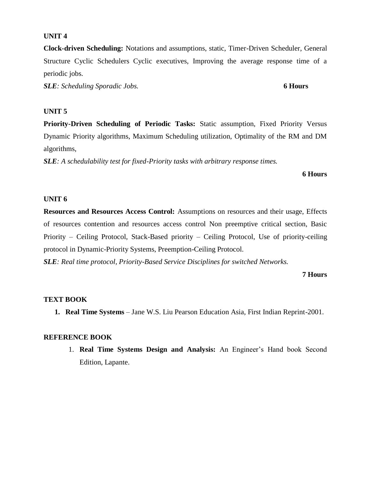**Clock-driven Scheduling:** Notations and assumptions, static, Timer-Driven Scheduler, General Structure Cyclic Schedulers Cyclic executives, Improving the average response time of a periodic jobs.

*SLE: Scheduling Sporadic Jobs.* **6 Hours**

# **UNIT 5**

**Priority-Driven Scheduling of Periodic Tasks:** Static assumption, Fixed Priority Versus Dynamic Priority algorithms, Maximum Scheduling utilization, Optimality of the RM and DM algorithms,

*SLE: A schedulability test for fixed-Priority tasks with arbitrary response times.* 

**6 Hours**

#### **UNIT 6**

**Resources and Resources Access Control:** Assumptions on resources and their usage, Effects of resources contention and resources access control Non preemptive critical section, Basic Priority – Ceiling Protocol, Stack-Based priority – Ceiling Protocol, Use of priority-ceiling protocol in Dynamic-Priority Systems, Preemption-Ceiling Protocol.

*SLE: Real time protocol, Priority-Based Service Disciplines for switched Networks.* 

#### **7 Hours**

#### **TEXT BOOK**

**1. Real Time Systems** – Jane W.S. Liu Pearson Education Asia, First Indian Reprint-2001.

#### **REFERENCE BOOK**

1. **Real Time Systems Design and Analysis:** An Engineer's Hand book Second Edition, Lapante.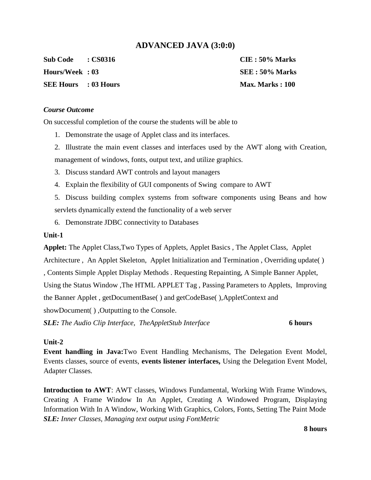# **ADVANCED JAVA (3:0:0)**

**Sub Code : CS0316 CIE : 50% Marks** 

**SEE Hours : 03 Hours Max. Marks : 100 and Max. Marks : 100** 

**Hours/Week : 03 SEE : 50% Marks** 

#### *Course Outcome*

On successful completion of the course the students will be able to

- 1. Demonstrate the usage of Applet class and its interfaces.
- 2. Illustrate the main event classes and interfaces used by the AWT along with Creation, management of windows, fonts, output text, and utilize graphics.
- 3. Discuss standard AWT controls and layout managers
- 4. Explain the flexibility of GUI components of Swing compare to AWT
- 5. Discuss building complex systems from software components using Beans and how servlets dynamically extend the functionality of a web server
- 6. Demonstrate JDBC connectivity to Databases

#### **Unit-1**

**Applet:** The Applet Class,Two Types of Applets, Applet Basics , The Applet Class, Applet Architecture , An Applet Skeleton, Applet Initialization and Termination , Overriding update( ) , Contents Simple Applet Display Methods . Requesting Repainting, A Simple Banner Applet, Using the Status Window ,The HTML APPLET Tag , Passing Parameters to Applets, Improving the Banner Applet , getDocumentBase( ) and getCodeBase( ),AppletContext and showDocument( ) ,Outputting to the Console.

*SLE: The Audio Clip Interface, TheAppletStub Interface* **6 hours**

#### **Unit-2**

**Event handling in Java:**Two Event Handling Mechanisms, The Delegation Event Model, Events classes, source of events, **events listener interfaces,** Using the Delegation Event Model, Adapter Classes.

**Introduction to AWT**: AWT classes, Windows Fundamental, Working With Frame Windows, Creating A Frame Window In An Applet, Creating A Windowed Program, Displaying Information With In A Window, Working With Graphics, Colors, Fonts, Setting The Paint Mode *SLE: Inner Classes, Managing text output using FontMetric*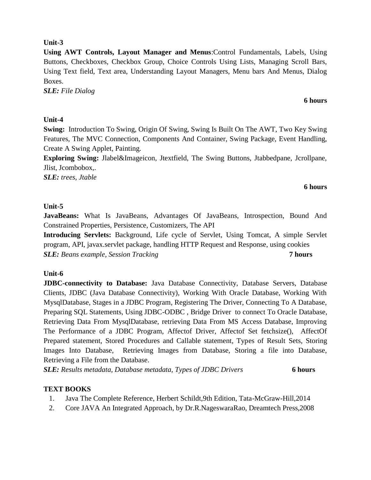#### **Unit-3**

**Using AWT Controls, Layout Manager and Menus**:Control Fundamentals, Labels, Using Buttons, Checkboxes, Checkbox Group, Choice Controls Using Lists, Managing Scroll Bars, Using Text field, Text area, Understanding Layout Managers, Menu bars And Menus, Dialog Boxes.

*SLE: File Dialog* 

# **Unit-4**

**Swing:** Introduction To Swing, Origin Of Swing, Swing Is Built On The AWT, Two Key Swing Features, The MVC Connection, Components And Container, Swing Package, Event Handling, Create A Swing Applet, Painting.

**Exploring Swing:** Jlabel&Imageicon, Jtextfield, The Swing Buttons, Jtabbedpane, Jcrollpane, Jlist, Jcombobox,.

*SLE: trees, Jtable*

#### **6 hours**

### **Unit-5**

**JavaBeans:** What Is JavaBeans, Advantages Of JavaBeans, Introspection, Bound And Constrained Properties, Persistence, Customizers, The API

**Introducing Servlets:** Background, Life cycle of Servlet, Using Tomcat, A simple Servlet program, API, javax.servlet package, handling HTTP Request and Response, using cookies *SLE: Beans example, Session Tracking* **7 hours** 

# **Unit-6**

**JDBC-connectivity to Database:** Java Database Connectivity, Database Servers, Database Clients, JDBC (Java Database Connectivity), Working With Oracle Database, Working With MysqlDatabase, Stages in a JDBC Program, Registering The Driver, Connecting To A Database, Preparing SQL Statements, Using JDBC-ODBC , Bridge Driver to connect To Oracle Database, Retrieving Data From MysqlDatabase, retrieving Data From MS Access Database, Improving The Performance of a JDBC Program, Affectof Driver, Affectof Set fetchsize(), AffectOf Prepared statement, Stored Procedures and Callable statement, Types of Result Sets, Storing Images Into Database, Retrieving Images from Database, Storing a file into Database, Retrieving a File from the Database.

*SLE: Results metadata, Database metadata, Types of JDBC Drivers* **6 hours**

# **TEXT BOOKS**

- 1. Java The Complete Reference, Herbert Schildt,9th Edition, Tata-McGraw-Hill,2014
- 2. Core JAVA An Integrated Approach, by Dr.R.NageswaraRao, Dreamtech Press,2008

#### **6 hours**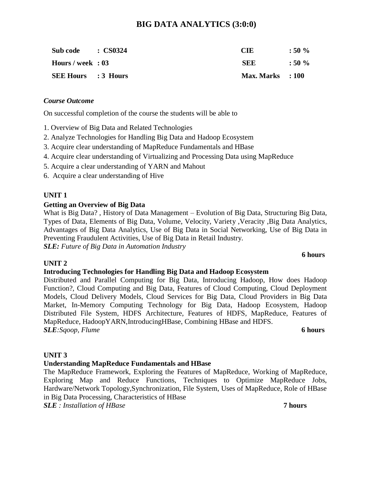# **BIG DATA ANALYTICS (3:0:0)**

| Sub code : CS0324          | CIE                | $:50\%$ |
|----------------------------|--------------------|---------|
| Hours / week : 03          | <b>SEE</b>         | $:50\%$ |
| <b>SEE Hours</b> : 3 Hours | $Max. Marks$ : 100 |         |

#### *Course Outcome*

On successful completion of the course the students will be able to

- 1. Overview of Big Data and Related Technologies
- 2. Analyze Technologies for Handling Big Data and Hadoop Ecosystem
- 3. Acquire clear understanding of MapReduce Fundamentals and HBase
- 4. Acquire clear understanding of Virtualizing and Processing Data using MapReduce
- 5. Acquire a clear understanding of YARN and Mahout
- 6. Acquire a clear understanding of Hive

### **UNIT 1**

#### **Getting an Overview of Big Data**

What is Big Data? , History of Data Management – Evolution of Big Data, Structuring Big Data, Types of Data, Elements of Big Data, Volume, Velocity, Variety ,Veracity ,Big Data Analytics, Advantages of Big Data Analytics, Use of Big Data in Social Networking, Use of Big Data in Preventing Fraudulent Activities, Use of Big Data in Retail Industry. *SLE: Future of Big Data in Automation Industry*

#### **6 hours**

#### **UNIT 2 Introducing Technologies for Handling Big Data and Hadoop Ecosystem**

Distributed and Parallel Computing for Big Data, Introducing Hadoop, How does Hadoop Function?, Cloud Computing and Big Data, Features of Cloud Computing, Cloud Deployment Models, Cloud Delivery Models, Cloud Services for Big Data, Cloud Providers in Big Data Market, In-Memory Computing Technology for Big Data, Hadoop Ecosystem, Hadoop Distributed File System, HDFS Architecture, Features of HDFS, MapReduce, Features of MapReduce, HadoopYARN,IntroducingHBase, Combining HBase and HDFS. *SLE:Sqoop, Flume* **6 hours**

#### **UNIT 3**

### **Understanding MapReduce Fundamentals and HBase**

The MapReduce Framework, Exploring the Features of MapReduce, Working of MapReduce, Exploring Map and Reduce Functions, Techniques to Optimize MapReduce Jobs, Hardware/Network Topology,Synchronization, File System, Uses of MapReduce, Role of HBase in Big Data Processing, Characteristics of HBase

*SLE : Installation of HBase* **7 hours**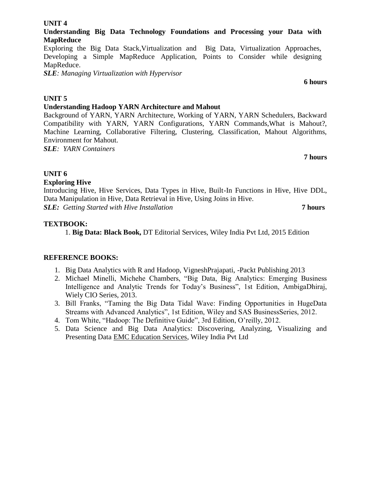# **Understanding Big Data Technology Foundations and Processing your Data with MapReduce**

Exploring the Big Data Stack,Virtualization and Big Data, Virtualization Approaches, Developing a Simple MapReduce Application, Points to Consider while designing MapReduce.

*SLE: Managing Virtualization with Hypervisor* 

# **UNIT 5**

# **Understanding Hadoop YARN Architecture and Mahout**

Background of YARN, YARN Architecture, Working of YARN, YARN Schedulers, Backward Compatibility with YARN, YARN Configurations, YARN Commands,What is Mahout?, Machine Learning, Collaborative Filtering, Clustering, Classification, Mahout Algorithms, Environment for Mahout.

*SLE: YARN Containers*

**7 hours**

# **UNIT 6**

# **Exploring Hive**

Introducing Hive, Hive Services, Data Types in Hive, Built-In Functions in Hive, Hive DDL, Data Manipulation in Hive, Data Retrieval in Hive, Using Joins in Hive. *SLE: Getting Started with Hive Installation* **7 hours**

# **TEXTBOOK:**

1. **Big Data: Black Book,** DT Editorial Services, Wiley India Pvt Ltd, 2015 Edition

# **REFERENCE BOOKS:**

- 1. Big Data Analytics with R and Hadoop, VigneshPrajapati, -Packt Publishing 2013
- 2. Michael Minelli, Michehe Chambers, "Big Data, Big Analytics: Emerging Business Intelligence and Analytic Trends for Today's Business", 1st Edition, AmbigaDhiraj, Wiely CIO Series, 2013.
- 3. Bill Franks, "Taming the Big Data Tidal Wave: Finding Opportunities in HugeData Streams with Advanced Analytics", 1st Edition, Wiley and SAS BusinessSeries, 2012.
- 4. Tom White, "Hadoop: The Definitive Guide", 3rd Edition, O'reilly, 2012.
- 5. Data Science and Big Data Analytics: Discovering, Analyzing, Visualizing and Presenting Data EMC Education Services, Wiley India Pvt Ltd

# **UNIT 4**

**6 hours**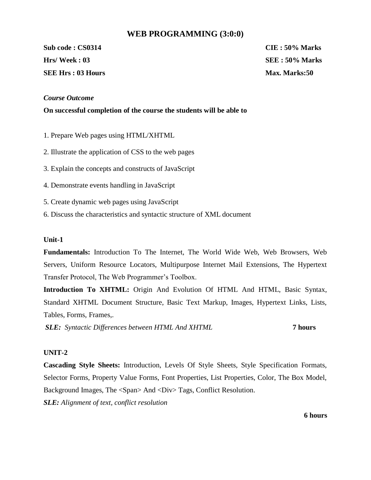#### **WEB PROGRAMMING (3:0:0)**

**Sub code : CS0314 CIE : 50% Marks Hrs/ Week : 03 SEE : 50% Marks SEE Hrs : 03 Hours Max. Marks:50** 

#### *Course Outcome*

**On successful completion of the course the students will be able to** 

1. Prepare Web pages using HTML/XHTML

- 2. Illustrate the application of CSS to the web pages
- 3. Explain the concepts and constructs of JavaScript
- 4. Demonstrate events handling in JavaScript
- 5. Create dynamic web pages using JavaScript
- 6. Discuss the characteristics and syntactic structure of XML document

#### **Unit-1**

**Fundamentals:** Introduction To The Internet, The World Wide Web, Web Browsers, Web Servers, Uniform Resource Locators, Multipurpose Internet Mail Extensions, The Hypertext Transfer Protocol, The Web Programmer's Toolbox.

**Introduction To XHTML:** Origin And Evolution Of HTML And HTML, Basic Syntax, Standard XHTML Document Structure, Basic Text Markup, Images, Hypertext Links, Lists, Tables, Forms, Frames,.

*SLE: Syntactic Differences between HTML And XHTML* **7 hours**

#### **UNIT-2**

**Cascading Style Sheets:** Introduction, Levels Of Style Sheets, Style Specification Formats, Selector Forms, Property Value Forms, Font Properties, List Properties, Color, The Box Model, Background Images, The <Span> And <Div> Tags, Conflict Resolution.

*SLE: Alignment of text, conflict resolution* 

**6 hours**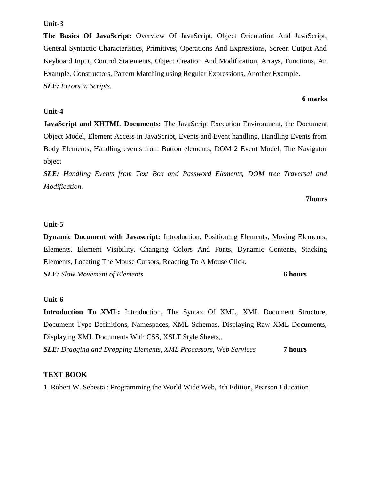**Unit-3**

**The Basics Of JavaScript:** Overview Of JavaScript, Object Orientation And JavaScript, General Syntactic Characteristics, Primitives, Operations And Expressions, Screen Output And Keyboard Input, Control Statements, Object Creation And Modification, Arrays, Functions, An Example, Constructors, Pattern Matching using Regular Expressions, Another Example. *SLE: Errors in Scripts.* 

#### **Unit-4**

**JavaScript and XHTML Documents:** The JavaScript Execution Environment, the Document Object Model, Element Access in JavaScript, Events and Event handling, Handling Events from Body Elements, Handling events from Button elements, DOM 2 Event Model, The Navigator object

*SLE: Handling Events from Text Box and Password Elements, DOM tree Traversal and Modification.* 

#### **7hours**

#### **Unit-5**

**Dynamic Document with Javascript:** Introduction, Positioning Elements, Moving Elements, Elements, Element Visibility, Changing Colors And Fonts, Dynamic Contents, Stacking Elements, Locating The Mouse Cursors, Reacting To A Mouse Click.

*SLE: Slow Movement of Elements* **6 hours**

#### **Unit-6**

**Introduction To XML:** Introduction, The Syntax Of XML, XML Document Structure, Document Type Definitions, Namespaces, XML Schemas, Displaying Raw XML Documents, Displaying XML Documents With CSS, XSLT Style Sheets,. *SLE: Dragging and Dropping Elements, XML Processors, Web Services* **7 hours**

#### **TEXT BOOK**

1. Robert W. Sebesta : Programming the World Wide Web, 4th Edition, Pearson Education

#### **6 marks**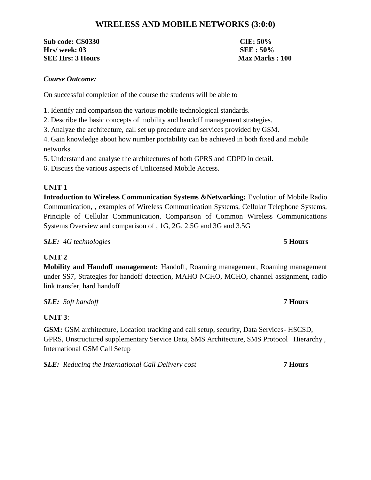# **WIRELESS AND MOBILE NETWORKS (3:0:0)**

**Sub code: CS0330 CIE: 50% Hrs/ week: 03 SEE : 50% SEE Hrs: 3 Hours Max Marks : 100** 

#### *Course Outcome:*

On successful completion of the course the students will be able to

1. Identify and comparison the various mobile technological standards.

2. Describe the basic concepts of mobility and handoff management strategies.

3. Analyze the architecture, call set up procedure and services provided by GSM.

4. Gain knowledge about how number portability can be achieved in both fixed and mobile networks.

5. Understand and analyse the architectures of both GPRS and CDPD in detail.

6. Discuss the various aspects of Unlicensed Mobile Access.

### **UNIT 1**

**Introduction to Wireless Communication Systems &Networking:** Evolution of Mobile Radio Communication, , examples of Wireless Communication Systems, Cellular Telephone Systems, Principle of Cellular Communication, Comparison of Common Wireless Communications Systems Overview and comparison of , 1G, 2G, 2.5G and 3G and 3.5G

# *SLE: 4G technologies* **5 Hours**

# **UNIT 2**

**Mobility and Handoff management:** Handoff, Roaming management, Roaming management under SS7, Strategies for handoff detection, MAHO NCHO, MCHO, channel assignment, radio link transfer, hard handoff

*SLE: Soft handoff* **7 Hours**

# **UNIT 3**:

**GSM:** GSM architecture, Location tracking and call setup, security, Data Services- HSCSD, GPRS, Unstructured supplementary Service Data, SMS Architecture, SMS Protocol Hierarchy , International GSM Call Setup

*SLE: Reducing the International Call Delivery cost* **7 Hours**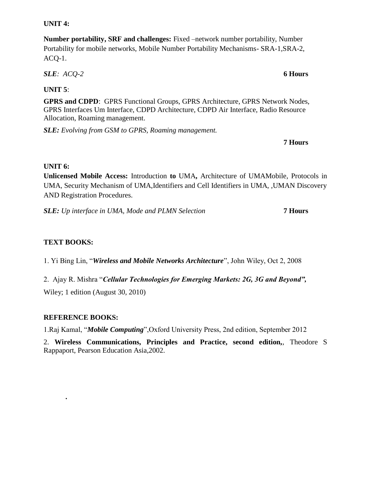#### **UNIT 4:**

**Number portability, SRF and challenges:** Fixed –network number portability, Number Portability for mobile networks, Mobile Number Portability Mechanisms- SRA-1,SRA-2, ACQ-1.

*SLE: ACQ-2* **6 Hours**

**UNIT 5**:

**GPRS and CDPD**: GPRS Functional Groups, GPRS Architecture, GPRS Network Nodes, GPRS Interfaces Um Interface, CDPD Architecture, CDPD Air Interface, Radio Resource Allocation, Roaming management.

*SLE: Evolving from GSM to GPRS, Roaming management.*

**7 Hours**

#### **UNIT 6:**

**Unlicensed Mobile Access:** Introduction **to** UMA**,** Architecture of UMAMobile, Protocols in UMA, Security Mechanism of UMA,Identifiers and Cell Identifiers in UMA, ,UMAN Discovery AND Registration Procedures.

*SLE: Up interface in UMA, Mode and PLMN Selection* **7 Hours**

## **TEXT BOOKS:**

1. Yi Bing Lin, ―*Wireless and Mobile Networks Architecture*‖, John Wiley, Oct 2, 2008

2. Ajay R. Mishra "Cellular Technologies for Emerging Markets: 2G, 3G and Beyond",

Wiley; 1 edition (August 30, 2010)

### **REFERENCE BOOKS:**

**.**

1.Raj Kamal, "*Mobile Computing*", Oxford University Press, 2nd edition, September 2012

2. **Wireless Communications, Principles and Practice, second edition,**, Theodore S Rappaport, Pearson Education Asia,2002.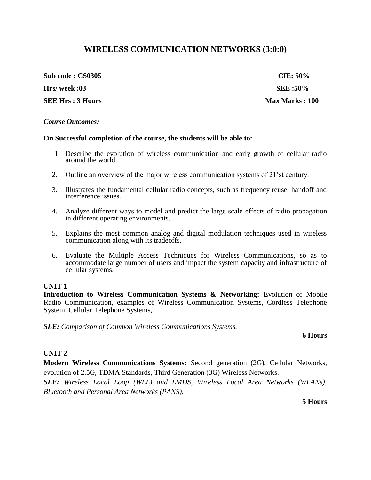# **WIRELESS COMMUNICATION NETWORKS (3:0:0)**

**Sub code : CS0305 CIE: 50% Hrs/ week :03 SEE :50%**

**SEE Hrs : 3 Hours Max Marks : 100** 

#### *Course Outcomes:*

#### **On Successful completion of the course, the students will be able to:**

- 1. Describe the evolution of wireless communication and early growth of cellular radio around the world.
- 2. Outline an overview of the major wireless communication systems of 21'st century.
- 3. Illustrates the fundamental cellular radio concepts, such as frequency reuse, handoff and interference issues.
- 4. Analyze different ways to model and predict the large scale effects of radio propagation in different operating environments.
- 5. Explains the most common analog and digital modulation techniques used in wireless communication along with its tradeoffs.
- 6. Evaluate the Multiple Access Techniques for Wireless Communications, so as to accommodate large number of users and impact the system capacity and infrastructure of cellular systems.

#### **UNIT 1**

**Introduction to Wireless Communication Systems & Networking:** Evolution of Mobile Radio Communication, examples of Wireless Communication Systems, Cordless Telephone System. Cellular Telephone Systems,

*SLE: Comparison of Common Wireless Communications Systems.*

#### **6 Hours**

#### **UNIT 2**

**Modern Wireless Communications Systems:** Second generation (2G), Cellular Networks, evolution of 2.5G, TDMA Standards, Third Generation (3G) Wireless Networks.

*SLE: Wireless Local Loop (WLL) and LMDS, Wireless Local Area Networks (WLANs), Bluetooth and Personal Area Networks (PANS).*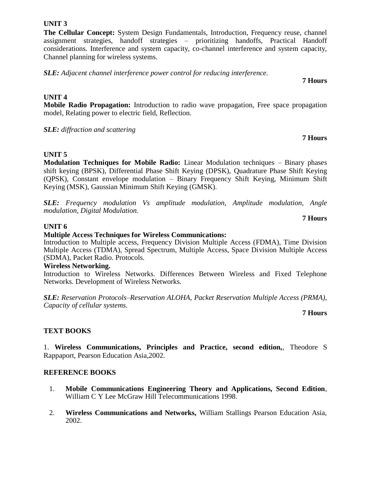**The Cellular Concept:** System Design Fundamentals, Introduction, Frequency reuse, channel assignment strategies, handoff strategies – prioritizing handoffs, Practical Handoff considerations. Interference and system capacity, co-channel interference and system capacity, Channel planning for wireless systems.

*SLE: Adjacent channel interference power control for reducing interference.*

## **UNIT 4**

**Mobile Radio Propagation:** Introduction to radio wave propagation, Free space propagation model, Relating power to electric field, Reflection.

*SLE: diffraction and scattering*

# **UNIT 5**

**Modulation Techniques for Mobile Radio:** Linear Modulation techniques – Binary phases shift keying (BPSK), Differential Phase Shift Keying (DPSK), Quadrature Phase Shift Keying (QPSK), Constant envelope modulation – Binary Frequency Shift Keying, Minimum Shift Keying (MSK), Gaussian Minimum Shift Keying (GMSK).

*SLE: Frequency modulation Vs amplitude modulation, Amplitude modulation, Angle modulation, Digital Modulation.*

# **UNIT 6**

# **Multiple Access Techniques for Wireless Communications:**

Introduction to Multiple access, Frequency Division Multiple Access (FDMA), Time Division Multiple Access (TDMA), Spread Spectrum, Multiple Access, Space Division Multiple Access (SDMA), Packet Radio. Protocols.

#### **Wireless Networking.**

Introduction to Wireless Networks. Differences Between Wireless and Fixed Telephone Networks. Development of Wireless Networks.

*SLE: Reservation Protocols–Reservation ALOHA, Packet Reservation Multiple Access (PRMA), Capacity of cellular systems.*

**7 Hours**

# **TEXT BOOKS**

1. **Wireless Communications, Principles and Practice, second edition,**, Theodore S Rappaport, Pearson Education Asia,2002.

### **REFERENCE BOOKS**

- 1. **Mobile Communications Engineering Theory and Applications, Second Edition**, William C Y Lee McGraw Hill Telecommunications 1998.
- 2. **Wireless Communications and Networks,** William Stallings Pearson Education Asia, 2002.

#### **7 Hours**

# **7 Hours**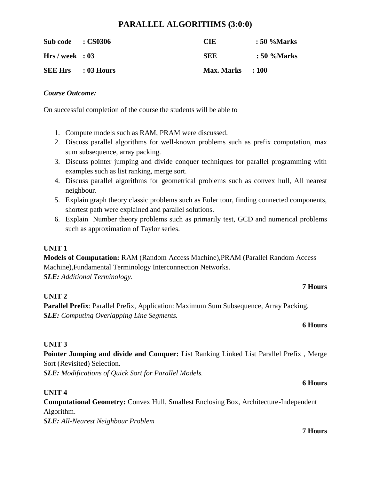# **PARALLEL ALGORITHMS (3:0:0)**

| Sub code : CS0306         | CIE                | : 50 %Marks |
|---------------------------|--------------------|-------------|
| Hrs / week : 03           | SEE                | : 50 %Marks |
| <b>SEE Hrs</b> : 03 Hours | $Max. Marks$ : 100 |             |

#### *Course Outcome:*

On successful completion of the course the students will be able to

- 1. Compute models such as RAM, PRAM were discussed.
- 2. Discuss parallel algorithms for well-known problems such as prefix computation, max sum subsequence, array packing.
- 3. Discuss pointer jumping and divide conquer techniques for parallel programming with examples such as list ranking, merge sort.
- 4. Discuss parallel algorithms for geometrical problems such as convex hull, All nearest neighbour.
- 5. Explain graph theory classic problems such as Euler tour, finding connected components, shortest path were explained and parallel solutions.
- 6. Explain Number theory problems such as primarily test, GCD and numerical problems such as approximation of Taylor series.

# **UNIT 1**

**Models of Computation:** RAM (Random Access Machine),PRAM (Parallel Random Access Machine),Fundamental Terminology Interconnection Networks. *SLE: Additional Terminology.*

# **UNIT 2**

**Parallel Prefix**: Parallel Prefix, Application: Maximum Sum Subsequence, Array Packing. *SLE: Computing Overlapping Line Segments.*

#### **6 Hours**

**7 Hours**

### **UNIT 3**

**Pointer Jumping and divide and Conquer:** List Ranking Linked List Parallel Prefix , Merge Sort (Revisited) Selection.

*SLE: Modifications of Quick Sort for Parallel Models.*

### **UNIT 4**

**Computational Geometry:** Convex Hull, Smallest Enclosing Box, Architecture-Independent Algorithm. *SLE: All-Nearest Neighbour Problem*

**7 Hours**